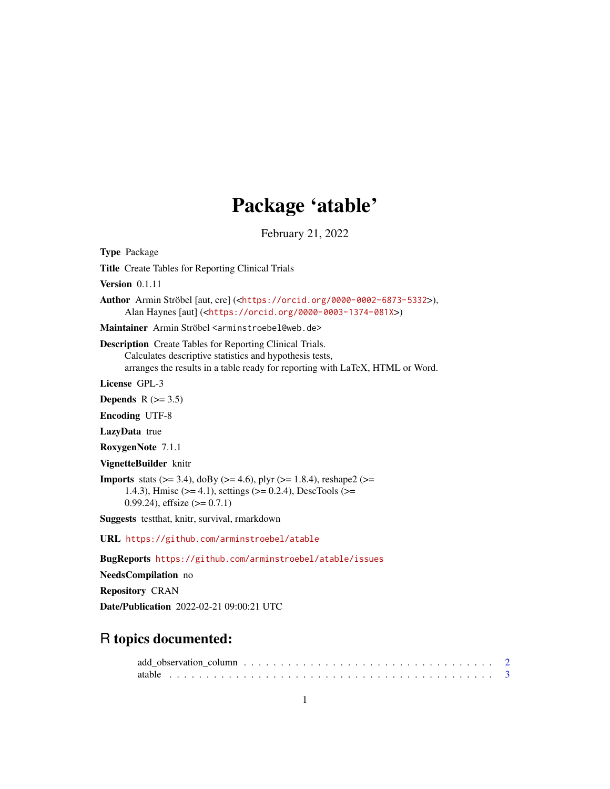# Package 'atable'

February 21, 2022

<span id="page-0-0"></span>Type Package Title Create Tables for Reporting Clinical Trials Version 0.1.11 Author Armin Ströbel [aut, cre] (<<https://orcid.org/0000-0002-6873-5332>>), Alan Haynes [aut] (<<https://orcid.org/0000-0003-1374-081X>>) Maintainer Armin Ströbel <arminstroebel@web.de> Description Create Tables for Reporting Clinical Trials. Calculates descriptive statistics and hypothesis tests, arranges the results in a table ready for reporting with LaTeX, HTML or Word. License GPL-3 Depends  $R$  ( $>= 3.5$ ) Encoding UTF-8 LazyData true RoxygenNote 7.1.1 VignetteBuilder knitr **Imports** stats ( $> = 3.4$ ), doBy ( $> = 4.6$ ), plyr ( $> = 1.8.4$ ), reshape2 ( $> =$ 1.4.3), Hmisc (>= 4.1), settings (>= 0.2.4), DescTools (>= 0.99.24), effsize  $(>= 0.7.1)$ Suggests testthat, knitr, survival, rmarkdown URL <https://github.com/arminstroebel/atable> BugReports <https://github.com/arminstroebel/atable/issues> NeedsCompilation no Repository CRAN Date/Publication 2022-02-21 09:00:21 UTC

# R topics documented: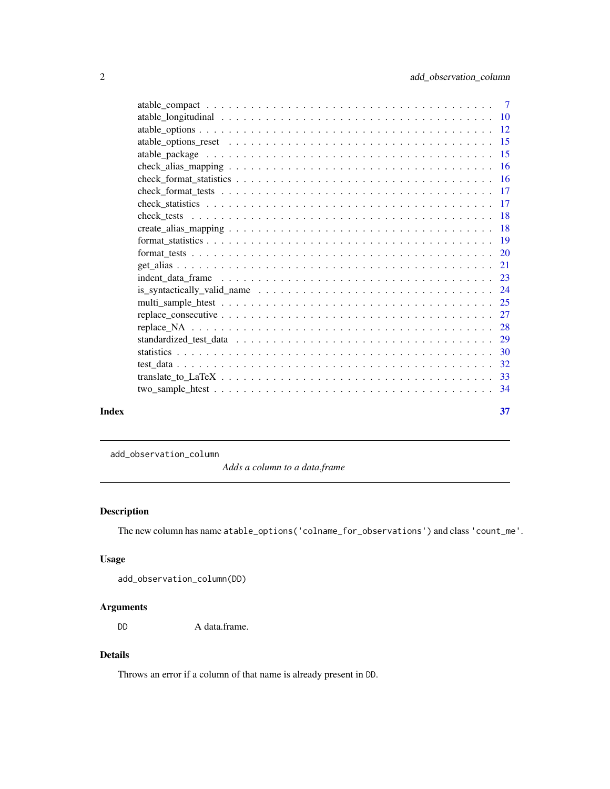<span id="page-1-0"></span>

|       | is_syntactically_valid_name $\ldots \ldots \ldots \ldots \ldots \ldots \ldots \ldots \ldots \ldots \ldots \ldots$ |    |
|-------|-------------------------------------------------------------------------------------------------------------------|----|
|       |                                                                                                                   |    |
|       |                                                                                                                   |    |
|       |                                                                                                                   |    |
|       |                                                                                                                   |    |
|       |                                                                                                                   |    |
|       |                                                                                                                   |    |
|       |                                                                                                                   |    |
|       |                                                                                                                   |    |
| Index |                                                                                                                   | 37 |
|       |                                                                                                                   |    |

<span id="page-1-1"></span>add\_observation\_column

*Adds a column to a data.frame*

# Description

The new column has name atable\_options('colname\_for\_observations') and class 'count\_me'.

# Usage

```
add_observation_column(DD)
```
# Arguments

DD A data.frame.

# Details

Throws an error if a column of that name is already present in DD.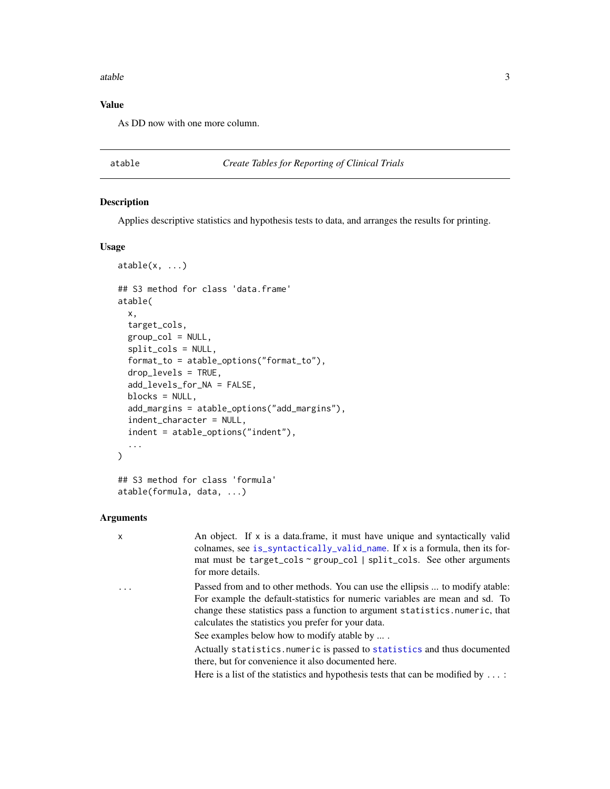#### <span id="page-2-0"></span>atable 3

# Value

As DD now with one more column.

# <span id="page-2-1"></span>atable *Create Tables for Reporting of Clinical Trials*

# Description

Applies descriptive statistics and hypothesis tests to data, and arranges the results for printing.

# Usage

```
atable(x, \ldots)## S3 method for class 'data.frame'
atable(
  x,
  target_cols,
  group\_col = NULL,split_cols = NULL,
  format_to = atable_options("format_to"),
  drop_levels = TRUE,
  add_levels_for_NA = FALSE,
 blocks = NULL,
  add_margins = atable_options("add_margins"),
  indent_character = NULL,
  indent = atable_options("indent"),
  ...
\mathcal{L}## S3 method for class 'formula'
```

```
atable(formula, data, ...)
```
# Arguments

| x        | An object. If x is a data.frame, it must have unique and syntactically valid<br>colnames, see is_syntactically_valid_name. If x is a formula, then its for-<br>mat must be target_cols ~ group_col   split_cols. See other arguments<br>for more details.                                             |
|----------|-------------------------------------------------------------------------------------------------------------------------------------------------------------------------------------------------------------------------------------------------------------------------------------------------------|
| $\ddots$ | Passed from and to other methods. You can use the ellipsis  to modify atable:<br>For example the default-statistics for numeric variables are mean and sd. To<br>change these statistics pass a function to argument statistics. numeric, that<br>calculates the statistics you prefer for your data. |
|          | See examples below how to modify atable by                                                                                                                                                                                                                                                            |
|          | Actually statistics.numeric is passed to statistics and thus documented<br>there, but for convenience it also documented here.                                                                                                                                                                        |
|          | Here is a list of the statistics and hypothesis tests that can be modified by $\dots$ :                                                                                                                                                                                                               |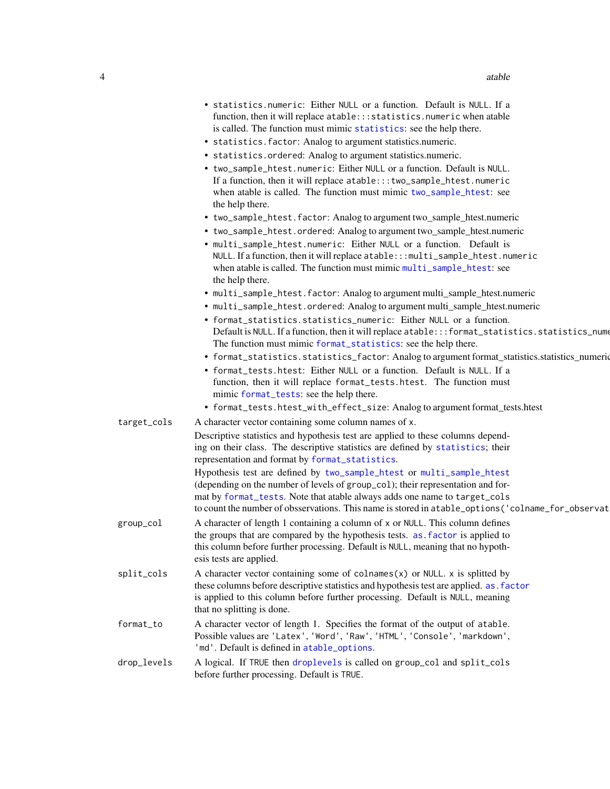<span id="page-3-0"></span>

| • statistics.numeric: Either NULL or a function. Default is NULL. If a  |
|-------------------------------------------------------------------------|
| function, then it will replace atable::: statistics.numeric when atable |
| is called. The function must mimic statistics: see the help there.      |

- statistics.factor: Analog to argument statistics.numeric.
- statistics.ordered: Analog to argument statistics.numeric.
- two\_sample\_htest.numeric: Either NULL or a function. Default is NULL. If a function, then it will replace atable:::two\_sample\_htest.numeric when atable is called. The function must mimic [two\\_sample\\_htest](#page-33-1): see the help there.
- two\_sample\_htest.factor: Analog to argument two\_sample\_htest.numeric
- two\_sample\_htest.ordered: Analog to argument two\_sample\_htest.numeric
- multi\_sample\_htest.numeric: Either NULL or a function. Default is NULL. If a function, then it will replace atable:::multi\_sample\_htest.numeric when atable is called. The function must mimic [multi\\_sample\\_htest](#page-24-1): see the help there.
- multi\_sample\_htest.factor: Analog to argument multi\_sample\_htest.numeric
- multi\_sample\_htest.ordered: Analog to argument multi\_sample\_htest.numeric
- format\_statistics.statistics\_numeric: Either NULL or a function. Default is NULL. If a function, then it will replace atable:::format\_statistics.statistics\_numer The function must mimic [format\\_statistics](#page-18-1): see the help there.
- format\_statistics.statistics\_factor: Analog to argument format\_statistics.statistics\_numeric
- format\_tests.htest: Either NULL or a function. Default is NULL. If a function, then it will replace format\_tests.htest. The function must mimic [format\\_tests](#page-19-1): see the help there.
- format\_tests.htest\_with\_effect\_size: Analog to argument format\_tests.htest
- target\_cols A character vector containing some column names of x. Descriptive statistics and hypothesis test are applied to these columns depending on their class. The descriptive statistics are defined by [statistics](#page-29-1); their representation and format by [format\\_statistics](#page-18-1). Hypothesis test are defined by [two\\_sample\\_htest](#page-33-1) or [multi\\_sample\\_htest](#page-24-1) (depending on the number of levels of group\_col); their representation and format by [format\\_tests](#page-19-1). Note that atable always adds one name to target\_cols to count the number of obsservations. This name is stored in atable\_options('colname\_for\_observat group\_col A character of length 1 containing a column of x or NULL. This column defines the groups that are compared by the hypothesis tests. [as.factor](#page-0-0) is applied to this column before further processing. Default is NULL, meaning that no hypothesis tests are applied.  $split\_cols$  A character vector containing some of colnames $(x)$  or NULL. x is splitted by these columns before descriptive statistics and hypothesis test are applied. [as.factor](#page-0-0) is applied to this column before further processing. Default is NULL, meaning that no splitting is done. format\_to A character vector of length 1. Specifies the format of the output of atable. Possible values are 'Latex', 'Word', 'Raw', 'HTML', 'Console', 'markdown', 'md'. Default is defined in [atable\\_options](#page-11-1). drop\_levels A logical. If TRUE then [droplevels](#page-0-0) is called on group\_col and split\_cols before further processing. Default is TRUE.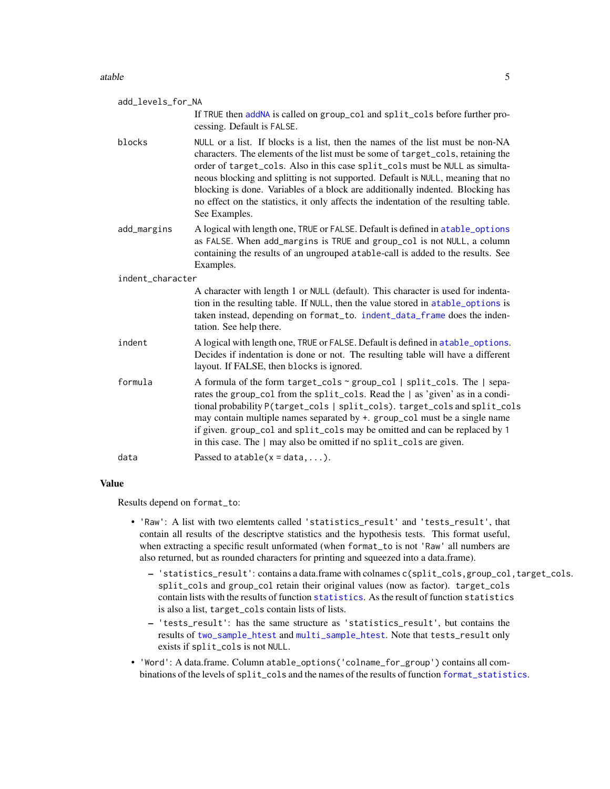#### <span id="page-4-0"></span>atable 5

| add_levels_for_NA |                                                                                                                                                                                                                                                                                                                                                                                                                                                                                                                                |  |  |  |  |
|-------------------|--------------------------------------------------------------------------------------------------------------------------------------------------------------------------------------------------------------------------------------------------------------------------------------------------------------------------------------------------------------------------------------------------------------------------------------------------------------------------------------------------------------------------------|--|--|--|--|
|                   | If TRUE then addNA is called on group_col and split_cols before further pro-<br>cessing. Default is FALSE.                                                                                                                                                                                                                                                                                                                                                                                                                     |  |  |  |  |
| blocks            | NULL or a list. If blocks is a list, then the names of the list must be non-NA<br>characters. The elements of the list must be some of target_cols, retaining the<br>order of target_cols. Also in this case split_cols must be NULL as simulta-<br>neous blocking and splitting is not supported. Default is NULL, meaning that no<br>blocking is done. Variables of a block are additionally indented. Blocking has<br>no effect on the statistics, it only affects the indentation of the resulting table.<br>See Examples. |  |  |  |  |
| add_margins       | A logical with length one, TRUE or FALSE. Default is defined in atable_options<br>as FALSE. When add_margins is TRUE and group_col is not NULL, a column<br>containing the results of an ungrouped atable-call is added to the results. See<br>Examples.                                                                                                                                                                                                                                                                       |  |  |  |  |
| indent character  |                                                                                                                                                                                                                                                                                                                                                                                                                                                                                                                                |  |  |  |  |
|                   | A character with length 1 or NULL (default). This character is used for indenta-<br>tion in the resulting table. If NULL, then the value stored in atable_options is<br>taken instead, depending on format_to. indent_data_frame does the inden-<br>tation. See help there.                                                                                                                                                                                                                                                    |  |  |  |  |
| indent            | A logical with length one, TRUE or FALSE. Default is defined in atable_options.<br>Decides if indentation is done or not. The resulting table will have a different<br>layout. If FALSE, then blocks is ignored.                                                                                                                                                                                                                                                                                                               |  |  |  |  |
| formula           | A formula of the form target_cols ~ group_col   split_cols. The   sepa-<br>rates the group_col from the split_cols. Read the   as 'given' as in a condi-<br>tional probability P(target_cols   split_cols). target_cols and split_cols<br>may contain multiple names separated by +. group_col must be a single name<br>if given. group_col and split_cols may be omitted and can be replaced by 1<br>in this case. The   may also be omitted if no split_cols are given.                                                      |  |  |  |  |
| data              | Passed to $atable(x = data, )$ .                                                                                                                                                                                                                                                                                                                                                                                                                                                                                               |  |  |  |  |
|                   |                                                                                                                                                                                                                                                                                                                                                                                                                                                                                                                                |  |  |  |  |

# Value

Results depend on format\_to:

- 'Raw': A list with two elemtents called 'statistics\_result' and 'tests\_result', that contain all results of the descriptve statistics and the hypothesis tests. This format useful, when extracting a specific result unformated (when format\_to is not 'Raw' all numbers are also returned, but as rounded characters for printing and squeezed into a data.frame).
	- 'statistics\_result': contains a data.frame with colnames c(split\_cols,group\_col,target\_cols. split\_cols and group\_col retain their original values (now as factor). target\_cols contain lists with the results of function [statistics](#page-29-1). As the result of function statistics is also a list, target\_cols contain lists of lists.
	- 'tests\_result': has the same structure as 'statistics\_result', but contains the results of [two\\_sample\\_htest](#page-33-1) and [multi\\_sample\\_htest](#page-24-1). Note that tests\_result only exists if split\_cols is not NULL.
- 'Word': A data.frame. Column atable\_options('colname\_for\_group') contains all combinations of the levels of split\_cols and the names of the results of function [format\\_statistics](#page-18-1).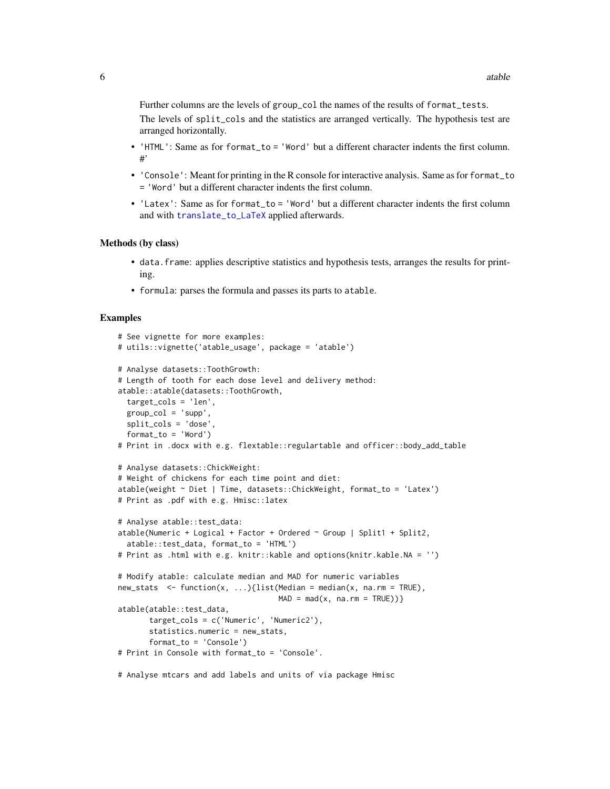<span id="page-5-0"></span>Further columns are the levels of group\_col the names of the results of format\_tests. The levels of split\_cols and the statistics are arranged vertically. The hypothesis test are arranged horizontally.

- 'HTML': Same as for format\_to = 'Word' but a different character indents the first column. #'
- 'Console': Meant for printing in the R console for interactive analysis. Same as for format\_to = 'Word' but a different character indents the first column.
- 'Latex': Same as for format\_to = 'Word' but a different character indents the first column and with [translate\\_to\\_LaTeX](#page-32-1) applied afterwards.

#### Methods (by class)

- data.frame: applies descriptive statistics and hypothesis tests, arranges the results for printing.
- formula: parses the formula and passes its parts to atable.

# Examples

```
# See vignette for more examples:
# utils::vignette('atable_usage', package = 'atable')
# Analyse datasets::ToothGrowth:
# Length of tooth for each dose level and delivery method:
atable::atable(datasets::ToothGrowth,
 target_cols = 'len',
 group\_col = 'supp',split_cols = 'dose',
 format_to = 'Word')
# Print in .docx with e.g. flextable::regulartable and officer::body_add_table
# Analyse datasets::ChickWeight:
# Weight of chickens for each time point and diet:
atable(weight ~ Diet | Time, datasets::ChickWeight, format_to = 'Latex')
# Print as .pdf with e.g. Hmisc::latex
# Analyse atable::test_data:
atable(Numeric + Logical + Factor + Ordered \sim Group | Split1 + Split2,
 atable::test_data, format_to = 'HTML')
# Print as .html with e.g. knitr::kable and options(knitr.kable.NA = '')
# Modify atable: calculate median and MAD for numeric variables
new\_stats \leq function(x, ...) {list(Median = median(x, na.rm = TRUE),
                                    MAD = mad(x, na.rm = TRUE))atable(atable::test_data,
      target_cols = c('Numeric', 'Numeric2'),
      statistics.numeric = new_stats,
      format_to = 'Console')
# Print in Console with format_to = 'Console'.
```
# Analyse mtcars and add labels and units of via package Hmisc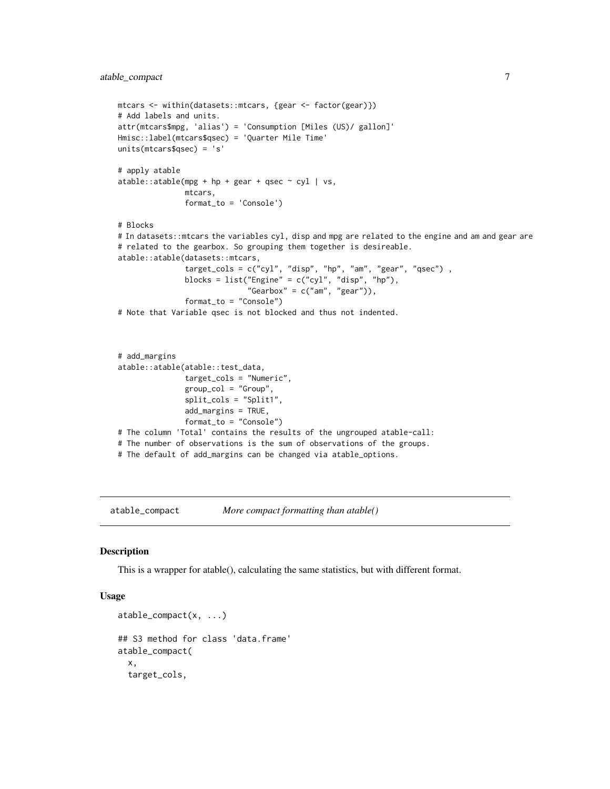```
mtcars <- within(datasets::mtcars, {gear <- factor(gear)})
# Add labels and units.
attr(mtcars$mpg, 'alias') = 'Consumption [Miles (US)/ gallon]'
Hmisc::label(mtcars$qsec) = 'Quarter Mile Time'
units(mtcars$qsec) = 's'
# apply atable
atable::atable(mpg + hp + gear + qsec ~ cyl + vs,mtcars,
               format_to = 'Console')
# Blocks
# In datasets::mtcars the variables cyl, disp and mpg are related to the engine and am and gear are
# related to the gearbox. So grouping them together is desireable.
atable::atable(datasets::mtcars,
               target_cols = c("cyl", "disp", "hp", "am", "gear", "qsec") ,
               blocks = list("Engine" = c("cyl", "disp", "hp"),
                             "Gearbox" = c("am", "gear")),
               format_to = "Console")
# Note that Variable qsec is not blocked and thus not indented.
# add_margins
atable::atable(atable::test_data,
               target_cols = "Numeric",
               group\_col = "Group",split_cols = "Split1",
               add_margins = TRUE,
               format_to = "Console")
# The column 'Total' contains the results of the ungrouped atable-call:
# The number of observations is the sum of observations of the groups.
```
# The default of add\_margins can be changed via atable\_options.

<span id="page-6-1"></span>atable\_compact *More compact formatting than atable()*

#### Description

This is a wrapper for atable(), calculating the same statistics, but with different format.

# Usage

```
atable_compact(x, ...)
## S3 method for class 'data.frame'
atable_compact(
  x,
  target_cols,
```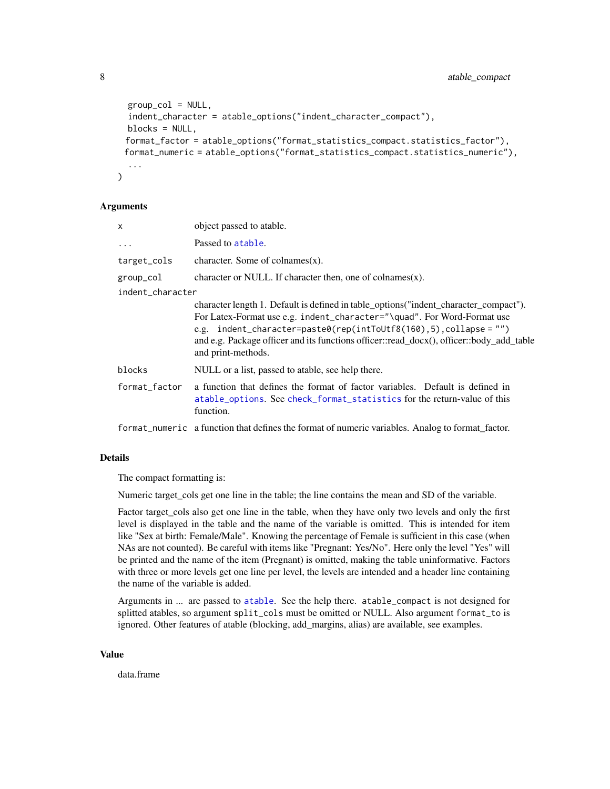```
group\_col = NULL,indent_character = atable_options("indent_character_compact"),
 blocks = NULL,
 format_factor = atable_options("format_statistics_compact.statistics_factor"),
 format_numeric = atable_options("format_statistics_compact.statistics_numeric"),
  ...
)
```
# Arguments

| X                | object passed to atable.                                                                                                                                                                                                                                                                                                                                   |
|------------------|------------------------------------------------------------------------------------------------------------------------------------------------------------------------------------------------------------------------------------------------------------------------------------------------------------------------------------------------------------|
| $\ddotsc$        | Passed to atable.                                                                                                                                                                                                                                                                                                                                          |
| target_cols      | character. Some of colnames $(x)$ .                                                                                                                                                                                                                                                                                                                        |
| group_col        | character or NULL. If character then, one of colnames $(x)$ .                                                                                                                                                                                                                                                                                              |
| indent character |                                                                                                                                                                                                                                                                                                                                                            |
|                  | character length 1. Default is defined in table_options("indent_character_compact").<br>For Latex-Format use e.g. indent_character="\quad". For Word-Format use<br>e.g. $indent_{character}$ paste0(rep(intToUtf8(160),5),collapse = "")<br>and e.g. Package officer and its functions officer::read_docx(), officer::body_add_table<br>and print-methods. |
| blocks           | NULL or a list, passed to atable, see help there.                                                                                                                                                                                                                                                                                                          |
| format_factor    | a function that defines the format of factor variables. Default is defined in<br>atable_options. See check_format_statistics for the return-value of this<br>function.                                                                                                                                                                                     |
|                  |                                                                                                                                                                                                                                                                                                                                                            |

# format\_numeric a function that defines the format of numeric variables. Analog to format\_factor.

# Details

The compact formatting is:

Numeric target\_cols get one line in the table; the line contains the mean and SD of the variable.

Factor target\_cols also get one line in the table, when they have only two levels and only the first level is displayed in the table and the name of the variable is omitted. This is intended for item like "Sex at birth: Female/Male". Knowing the percentage of Female is sufficient in this case (when NAs are not counted). Be careful with items like "Pregnant: Yes/No". Here only the level "Yes" will be printed and the name of the item (Pregnant) is omitted, making the table uninformative. Factors with three or more levels get one line per level, the levels are intended and a header line containing the name of the variable is added.

Arguments in ... are passed to [atable](#page-2-1). See the help there. atable\_compact is not designed for splitted atables, so argument split\_cols must be omitted or NULL. Also argument format\_to is ignored. Other features of atable (blocking, add\_margins, alias) are available, see examples.

#### Value

data.frame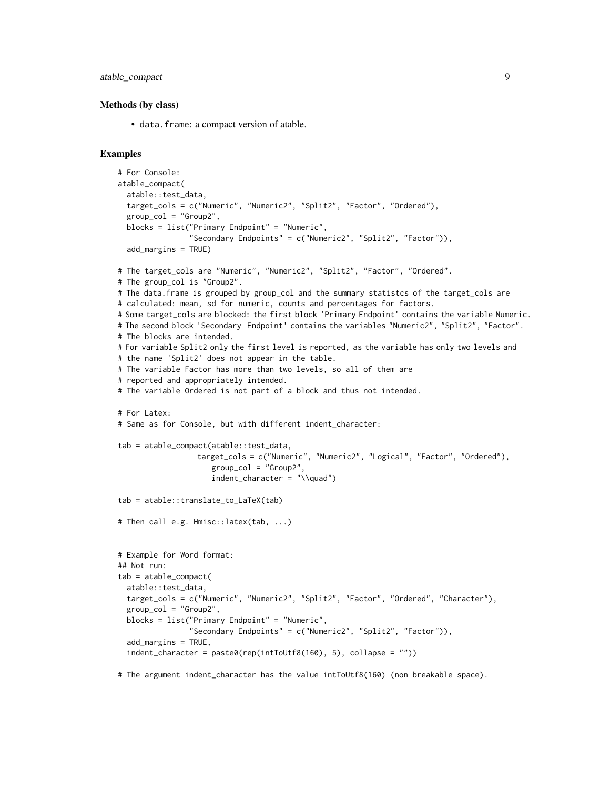atable\_compact 9

#### Methods (by class)

• data.frame: a compact version of atable.

# Examples

```
# For Console:
atable_compact(
 atable::test_data,
 target_cols = c("Numeric", "Numeric2", "Split2", "Factor", "Ordered"),
 group_col = "Group2",
 blocks = list("Primary Endpoint" = "Numeric",
                "Secondary Endpoints" = c("Numeric2", "Split2", "Factor")),
 add_margins = TRUE)
# The target_cols are "Numeric", "Numeric2", "Split2", "Factor", "Ordered".
# The group_col is "Group2".
# The data.frame is grouped by group_col and the summary statistcs of the target_cols are
# calculated: mean, sd for numeric, counts and percentages for factors.
# Some target_cols are blocked: the first block 'Primary Endpoint' contains the variable Numeric.
# The second block 'Secondary Endpoint' contains the variables "Numeric2", "Split2", "Factor".
# The blocks are intended.
# For variable Split2 only the first level is reported, as the variable has only two levels and
# the name 'Split2' does not appear in the table.
# The variable Factor has more than two levels, so all of them are
# reported and appropriately intended.
# The variable Ordered is not part of a block and thus not intended.
# For Latex:
# Same as for Console, but with different indent_character:
tab = atable_compact(atable::test_data,
                  target_cols = c("Numeric", "Numeric2", "Logical", "Factor", "Ordered"),
                     group_col = "Group2",
                     indent_{character} = "\\quad")tab = atable::translate_to_LaTeX(tab)
# Then call e.g. Hmisc::latex(tab, ...)
# Example for Word format:
## Not run:
tab = atable_compact(
 atable::test_data,
 target_cols = c("Numeric", "Numeric2", "Split2", "Factor", "Ordered", "Character"),
 group_col = "Group2",
 blocks = list("Primary Endpoint" = "Numeric",
                "Secondary Endpoints" = c("Numeric2", "Split2", "Factor")),
 add_margins = TRUE,
 indent_character = paste0(rep(intToUtf8(160), 5), collapse = ""))
```
# The argument indent\_character has the value intToUtf8(160) (non breakable space).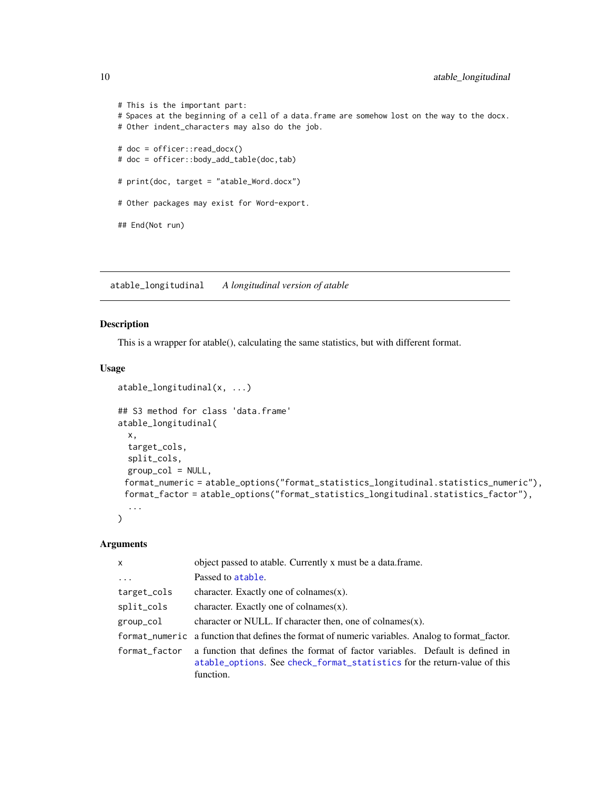# This is the important part: # Spaces at the beginning of a cell of a data.frame are somehow lost on the way to the docx. # Other indent\_characters may also do the job. # doc = officer::read\_docx() # doc = officer::body\_add\_table(doc,tab) # print(doc, target = "atable\_Word.docx") # Other packages may exist for Word-export. ## End(Not run)

<span id="page-9-1"></span>atable\_longitudinal *A longitudinal version of atable*

atable\_longitudinal(x, ...)

# Description

This is a wrapper for atable(), calculating the same statistics, but with different format.

# Usage

```
## S3 method for class 'data.frame'
atable_longitudinal(
 x,
  target_cols,
 split_cols,
 group\_col = NULL,format_numeric = atable_options("format_statistics_longitudinal.statistics_numeric"),
 format_factor = atable_options("format_statistics_longitudinal.statistics_factor"),
  ...
\mathcal{L}
```
# Arguments

| $\mathsf{x}$  | object passed to atable. Currently x must be a data.frame.                                                                                                             |
|---------------|------------------------------------------------------------------------------------------------------------------------------------------------------------------------|
| $\ddots$      | Passed to atable.                                                                                                                                                      |
| target_cols   | character. Exactly one of colnames $(x)$ .                                                                                                                             |
| split_cols    | character. Exactly one of colnames $(x)$ .                                                                                                                             |
| group_col     | character or NULL. If character then, one of colnames $(x)$ .                                                                                                          |
|               | format numeric a function that defines the format of numeric variables. Analog to format factor.                                                                       |
| format_factor | a function that defines the format of factor variables. Default is defined in<br>atable_options. See check_format_statistics for the return-value of this<br>function. |

<span id="page-9-0"></span>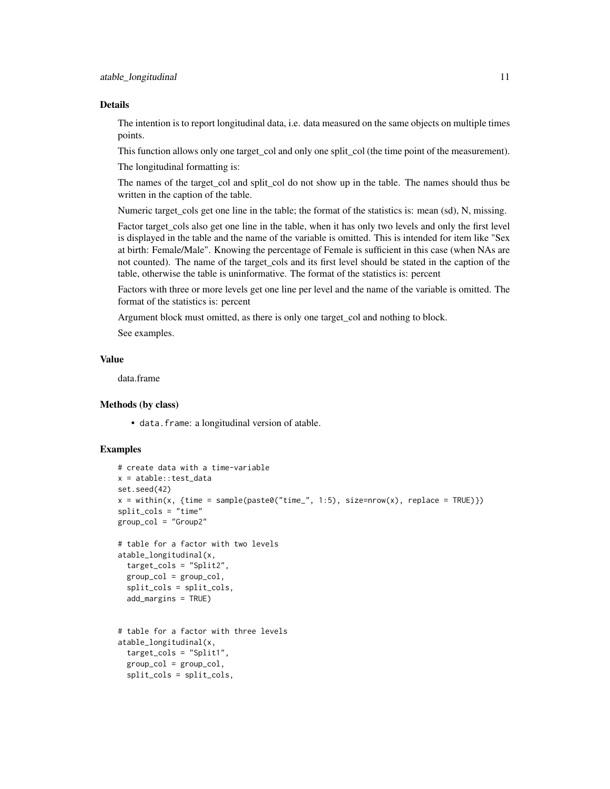#### Details

The intention is to report longitudinal data, i.e. data measured on the same objects on multiple times points.

This function allows only one target\_col and only one split\_col (the time point of the measurement).

The longitudinal formatting is:

The names of the target\_col and split\_col do not show up in the table. The names should thus be written in the caption of the table.

Numeric target\_cols get one line in the table; the format of the statistics is: mean (sd), N, missing.

Factor target cols also get one line in the table, when it has only two levels and only the first level is displayed in the table and the name of the variable is omitted. This is intended for item like "Sex at birth: Female/Male". Knowing the percentage of Female is sufficient in this case (when NAs are not counted). The name of the target\_cols and its first level should be stated in the caption of the table, otherwise the table is uninformative. The format of the statistics is: percent

Factors with three or more levels get one line per level and the name of the variable is omitted. The format of the statistics is: percent

Argument block must omitted, as there is only one target\_col and nothing to block.

See examples.

# Value

data.frame

#### Methods (by class)

• data.frame: a longitudinal version of atable.

# Examples

```
# create data with a time-variable
x = atable::test_data
set.seed(42)
x = within(x, {time = sample(paste0("time", 1:5), size=nrow(x), replace = TRUE)})split_cols = "time"
group_col = "Group2"
# table for a factor with two levels
atable_longitudinal(x,
 target_cols = "Split2",
 group_col = group_col,
 split_cols = split_cols,
 add_margins = TRUE)
# table for a factor with three levels
atable_longitudinal(x,
 target_cols = "Split1",
 group\_col = group\_col,split_cols = split_cols,
```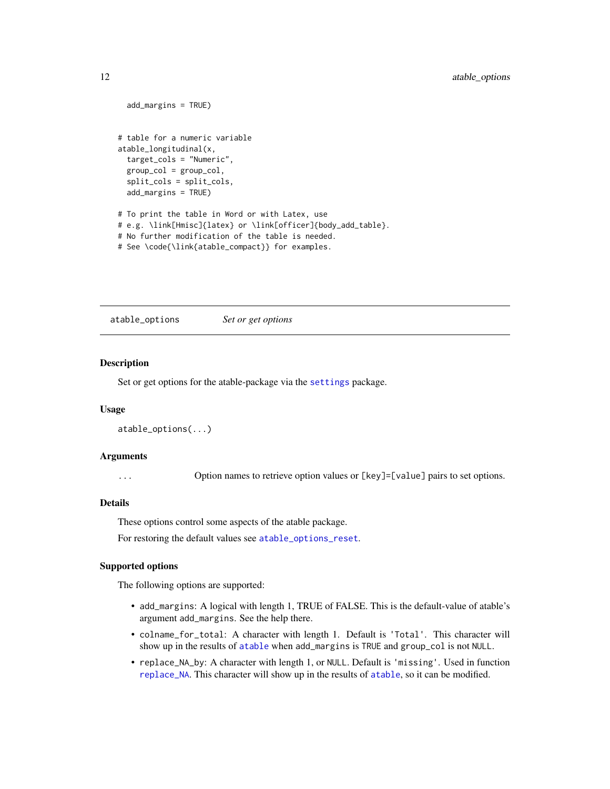```
add_margins = TRUE)
# table for a numeric variable
atable_longitudinal(x,
 target_cols = "Numeric",
 group_col = group_col,
 split_cols = split_cols,
 add_margins = TRUE)
# To print the table in Word or with Latex, use
# e.g. \link[Hmisc]{latex} or \link[officer]{body_add_table}.
# No further modification of the table is needed.
# See \code{\link{atable_compact}} for examples.
```
<span id="page-11-1"></span>atable\_options *Set or get options*

#### **Description**

Set or get options for the atable-package via the [settings](#page-0-0) package.

#### Usage

```
atable_options(...)
```
#### Arguments

... Option names to retrieve option values or [key]=[value] pairs to set options.

# Details

These options control some aspects of the atable package.

For restoring the default values see [atable\\_options\\_reset](#page-14-1).

### Supported options

The following options are supported:

- add\_margins: A logical with length 1, TRUE of FALSE. This is the default-value of atable's argument add\_margins. See the help there.
- colname\_for\_total: A character with length 1. Default is 'Total'. This character will show up in the results of [atable](#page-2-1) when add\_margins is TRUE and group\_col is not NULL.
- replace\_NA\_by: A character with length 1, or NULL. Default is 'missing'. Used in function [replace\\_NA](#page-27-1). This character will show up in the results of [atable](#page-2-1), so it can be modified.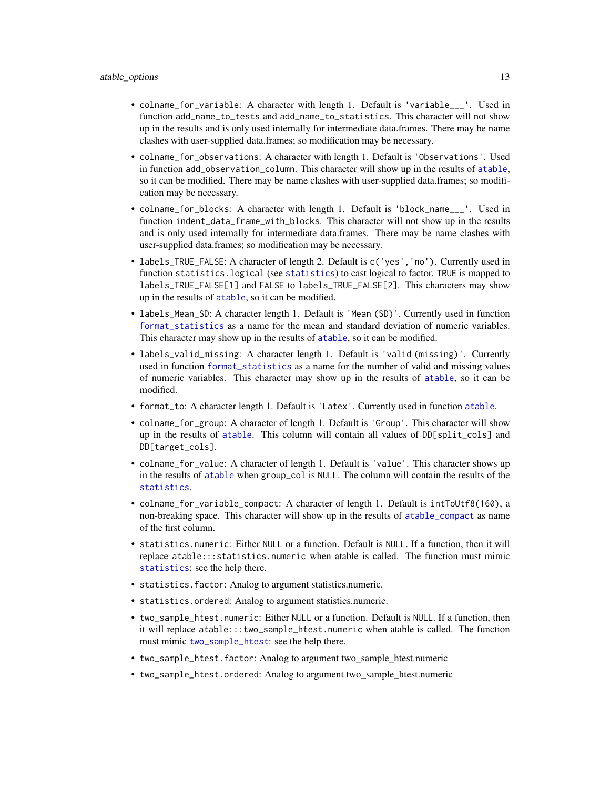- <span id="page-12-0"></span>• colname\_for\_variable: A character with length 1. Default is 'variable\_\_\_'. Used in function add\_name\_to\_tests and add\_name\_to\_statistics. This character will not show up in the results and is only used internally for intermediate data.frames. There may be name clashes with user-supplied data.frames; so modification may be necessary.
- colname\_for\_observations: A character with length 1. Default is 'Observations'. Used in function add\_observation\_column. This character will show up in the results of [atable](#page-2-1), so it can be modified. There may be name clashes with user-supplied data.frames; so modification may be necessary.
- colname\_for\_blocks: A character with length 1. Default is 'block\_name\_\_\_'. Used in function indent\_data\_frame\_with\_blocks. This character will not show up in the results and is only used internally for intermediate data.frames. There may be name clashes with user-supplied data.frames; so modification may be necessary.
- labels\_TRUE\_FALSE: A character of length 2. Default is  $c('yes', 'no')$ . Currently used in function statistics.logical (see [statistics](#page-29-1)) to cast logical to factor. TRUE is mapped to labels\_TRUE\_FALSE[1] and FALSE to labels\_TRUE\_FALSE[2]. This characters may show up in the results of [atable](#page-2-1), so it can be modified.
- labels\_Mean\_SD: A character length 1. Default is 'Mean (SD)'. Currently used in function [format\\_statistics](#page-18-1) as a name for the mean and standard deviation of numeric variables. This character may show up in the results of [atable](#page-2-1), so it can be modified.
- labels\_valid\_missing: A character length 1. Default is 'valid (missing)'. Currently used in function [format\\_statistics](#page-18-1) as a name for the number of valid and missing values of numeric variables. This character may show up in the results of [atable](#page-2-1), so it can be modified.
- format\_to: A character length 1. Default is 'Latex'. Currently used in function [atable](#page-2-1).
- colname\_for\_group: A character of length 1. Default is 'Group'. This character will show up in the results of [atable](#page-2-1). This column will contain all values of DD[split\_cols] and DD[target\_cols].
- colname\_for\_value: A character of length 1. Default is 'value'. This character shows up in the results of [atable](#page-2-1) when group\_col is NULL. The column will contain the results of the [statistics](#page-29-1).
- colname\_for\_variable\_compact: A character of length 1. Default is intToUtf8(160), a non-breaking space. This character will show up in the results of [atable\\_compact](#page-6-1) as name of the first column.
- statistics.numeric: Either NULL or a function. Default is NULL. If a function, then it will replace atable:::statistics.numeric when atable is called. The function must mimic [statistics](#page-29-1): see the help there.
- statistics.factor: Analog to argument statistics.numeric.
- statistics.ordered: Analog to argument statistics.numeric.
- two\_sample\_htest.numeric: Either NULL or a function. Default is NULL. If a function, then it will replace atable:::two\_sample\_htest.numeric when atable is called. The function must mimic [two\\_sample\\_htest](#page-33-1): see the help there.
- two\_sample\_htest.factor: Analog to argument two\_sample\_htest.numeric
- two\_sample\_htest.ordered: Analog to argument two\_sample\_htest.numeric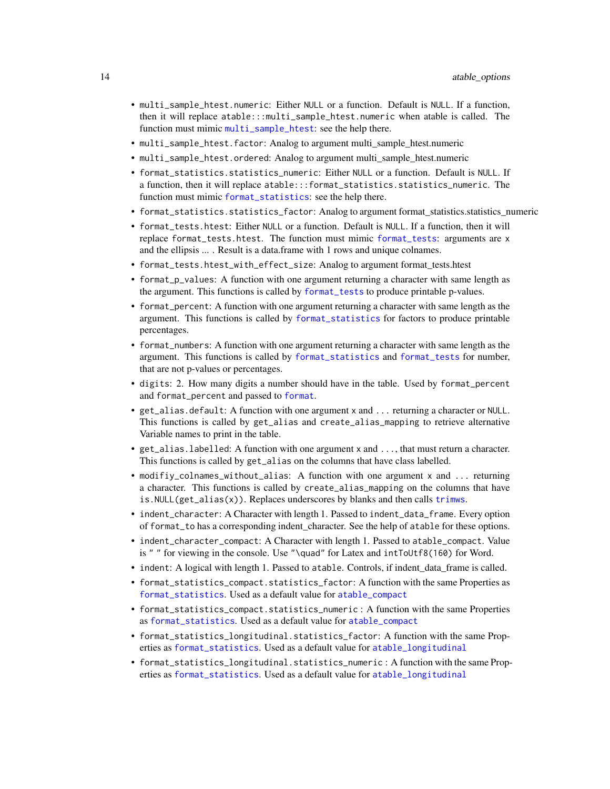- <span id="page-13-0"></span>• multi\_sample\_htest.numeric: Either NULL or a function. Default is NULL. If a function, then it will replace atable:::multi\_sample\_htest.numeric when atable is called. The function must mimic [multi\\_sample\\_htest](#page-24-1): see the help there.
- multi\_sample\_htest.factor: Analog to argument multi\_sample\_htest.numeric
- multi\_sample\_htest.ordered: Analog to argument multi\_sample\_htest.numeric
- format\_statistics.statistics\_numeric: Either NULL or a function. Default is NULL. If a function, then it will replace atable:::format\_statistics.statistics\_numeric. The function must mimic [format\\_statistics](#page-18-1): see the help there.
- format\_statistics.statistics\_factor: Analog to argument format\_statistics.statistics\_numeric
- format\_tests.htest: Either NULL or a function. Default is NULL. If a function, then it will replace format\_tests.htest. The function must mimic [format\\_tests](#page-19-1): arguments are x and the ellipsis ... . Result is a data.frame with 1 rows and unique colnames.
- format\_tests.htest\_with\_effect\_size: Analog to argument format\_tests.htest
- format\_p\_values: A function with one argument returning a character with same length as the argument. This functions is called by [format\\_tests](#page-19-1) to produce printable p-values.
- format\_percent: A function with one argument returning a character with same length as the argument. This functions is called by [format\\_statistics](#page-18-1) for factors to produce printable percentages.
- format\_numbers: A function with one argument returning a character with same length as the argument. This functions is called by [format\\_statistics](#page-18-1) and [format\\_tests](#page-19-1) for number, that are not p-values or percentages.
- digits: 2. How many digits a number should have in the table. Used by format\_percent and format\_percent and passed to [format](#page-0-0).
- get\_alias.default: A function with one argument x and ... returning a character or NULL. This functions is called by get\_alias and create\_alias\_mapping to retrieve alternative Variable names to print in the table.
- get\_alias.labelled: A function with one argument x and ..., that must return a character. This functions is called by get\_alias on the columns that have class labelled.
- modifiy\_colnames\_without\_alias: A function with one argument x and ... returning a character. This functions is called by create\_alias\_mapping on the columns that have is.NULL(get\_alias(x)). Replaces underscores by blanks and then calls [trimws](#page-0-0).
- indent\_character: A Character with length 1. Passed to indent\_data\_frame. Every option of format\_to has a corresponding indent\_character. See the help of atable for these options.
- indent\_character\_compact: A Character with length 1. Passed to atable\_compact. Value is " " for viewing in the console. Use "\quad" for Latex and intToUtf8(160) for Word.
- indent: A logical with length 1. Passed to atable. Controls, if indent\_data\_frame is called.
- format\_statistics\_compact.statistics\_factor: A function with the same Properties as [format\\_statistics](#page-18-1). Used as a default value for [atable\\_compact](#page-6-1)
- format\_statistics\_compact.statistics\_numeric : A function with the same Properties as [format\\_statistics](#page-18-1). Used as a default value for [atable\\_compact](#page-6-1)
- format\_statistics\_longitudinal.statistics\_factor: A function with the same Properties as [format\\_statistics](#page-18-1). Used as a default value for [atable\\_longitudinal](#page-9-1)
- format\_statistics\_longitudinal.statistics\_numeric : A function with the same Properties as [format\\_statistics](#page-18-1). Used as a default value for [atable\\_longitudinal](#page-9-1)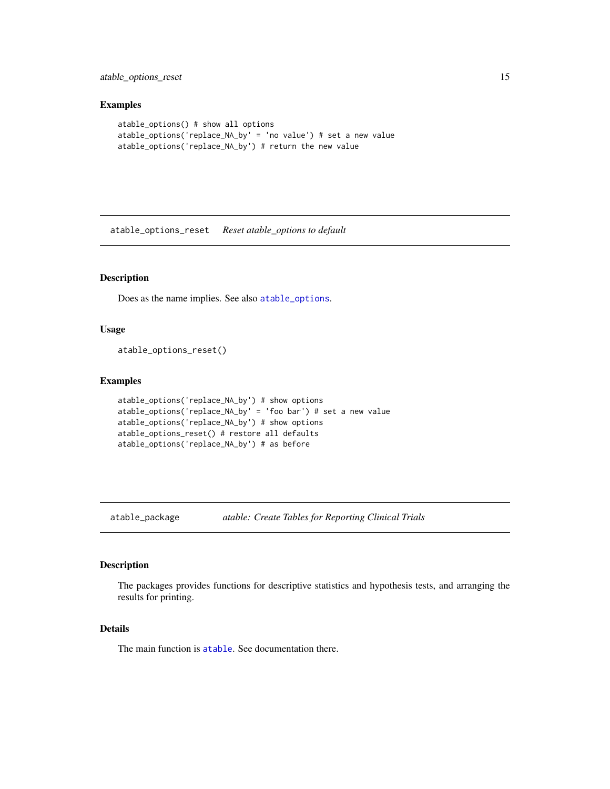<span id="page-14-0"></span>atable\_options\_reset 15

# Examples

```
atable_options() # show all options
atable_options('replace_NA_by' = 'no value') # set a new value
atable_options('replace_NA_by') # return the new value
```
<span id="page-14-1"></span>atable\_options\_reset *Reset atable\_options to default*

# Description

Does as the name implies. See also [atable\\_options](#page-11-1).

# Usage

atable\_options\_reset()

### Examples

```
atable_options('replace_NA_by') # show options
atable_options('replace_NA_by' = 'foo bar') # set a new value
atable_options('replace_NA_by') # show options
atable_options_reset() # restore all defaults
atable_options('replace_NA_by') # as before
```
atable\_package *atable: Create Tables for Reporting Clinical Trials*

# Description

The packages provides functions for descriptive statistics and hypothesis tests, and arranging the results for printing.

#### Details

The main function is [atable](#page-2-1). See documentation there.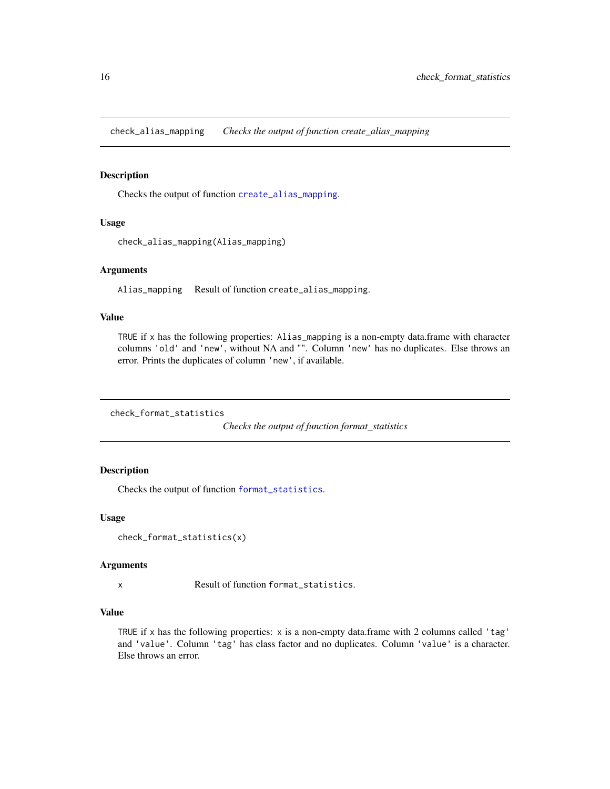<span id="page-15-0"></span>check\_alias\_mapping *Checks the output of function create\_alias\_mapping*

# Description

Checks the output of function [create\\_alias\\_mapping](#page-17-1).

# Usage

```
check_alias_mapping(Alias_mapping)
```
# Arguments

Alias\_mapping Result of function create\_alias\_mapping.

# Value

TRUE if x has the following properties: Alias\_mapping is a non-empty data.frame with character columns 'old' and 'new', without NA and "". Column 'new' has no duplicates. Else throws an error. Prints the duplicates of column 'new', if available.

<span id="page-15-1"></span>check\_format\_statistics

*Checks the output of function format\_statistics*

# Description

Checks the output of function [format\\_statistics](#page-18-1).

#### Usage

```
check_format_statistics(x)
```
#### Arguments

x Result of function format\_statistics.

#### Value

TRUE if x has the following properties: x is a non-empty data.frame with 2 columns called 'tag' and 'value'. Column 'tag' has class factor and no duplicates. Column 'value' is a character. Else throws an error.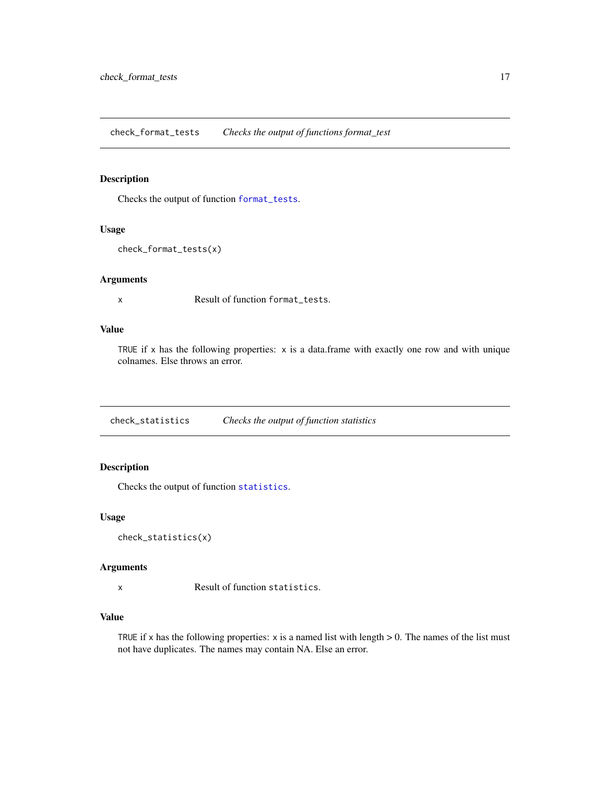<span id="page-16-1"></span><span id="page-16-0"></span>check\_format\_tests *Checks the output of functions format\_test*

# Description

Checks the output of function [format\\_tests](#page-19-1).

# Usage

```
check_format_tests(x)
```
# Arguments

x Result of function format\_tests.

# Value

TRUE if x has the following properties: x is a data.frame with exactly one row and with unique colnames. Else throws an error.

<span id="page-16-2"></span>check\_statistics *Checks the output of function statistics*

# Description

Checks the output of function [statistics](#page-29-1).

# Usage

```
check_statistics(x)
```
#### Arguments

x Result of function statistics.

# Value

TRUE if x has the following properties:  $x$  is a named list with length  $> 0$ . The names of the list must not have duplicates. The names may contain NA. Else an error.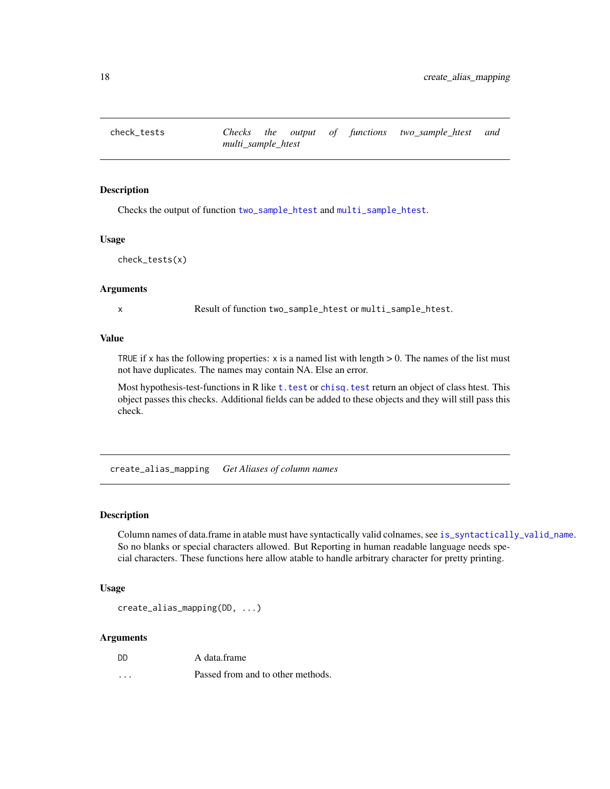<span id="page-17-2"></span><span id="page-17-0"></span>

# Description

Checks the output of function [two\\_sample\\_htest](#page-33-1) and [multi\\_sample\\_htest](#page-24-1).

### Usage

```
check_tests(x)
```
### Arguments

x Result of function two\_sample\_htest or multi\_sample\_htest.

### Value

TRUE if x has the following properties:  $x$  is a named list with length  $> 0$ . The names of the list must not have duplicates. The names may contain NA. Else an error.

Most hypothesis-test-functions in R like t. test or chisq. test return an object of class htest. This object passes this checks. Additional fields can be added to these objects and they will still pass this check.

<span id="page-17-1"></span>create\_alias\_mapping *Get Aliases of column names*

# **Description**

Column names of data.frame in atable must have syntactically valid colnames, see [is\\_syntactically\\_valid\\_name](#page-23-1). So no blanks or special characters allowed. But Reporting in human readable language needs special characters. These functions here allow atable to handle arbitrary character for pretty printing.

#### Usage

```
create_alias_mapping(DD, ...)
```
#### Arguments

| DD | A data.frame |
|----|--------------|
|    |              |

... Passed from and to other methods.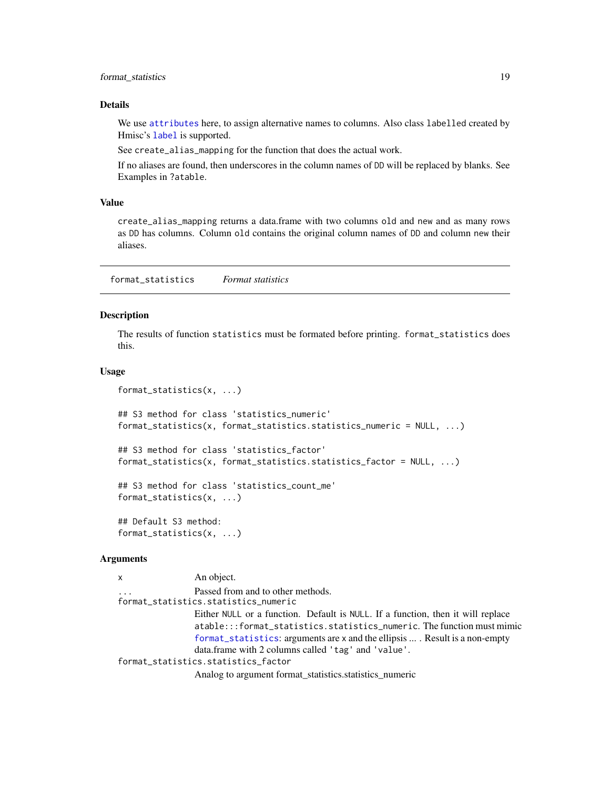# <span id="page-18-0"></span>format\_statistics 19

#### Details

We use [attributes](#page-0-0) here, to assign alternative names to columns. Also class labelled created by Hmisc's [label](#page-0-0) is supported.

See create\_alias\_mapping for the function that does the actual work.

If no aliases are found, then underscores in the column names of DD will be replaced by blanks. See Examples in ?atable.

# Value

create\_alias\_mapping returns a data.frame with two columns old and new and as many rows as DD has columns. Column old contains the original column names of DD and column new their aliases.

<span id="page-18-1"></span>format\_statistics *Format statistics*

# Description

The results of function statistics must be formated before printing. format\_statistics does this.

#### Usage

```
format_statistics(x, ...)
## S3 method for class 'statistics_numeric'
format_statistics(x, format_statistics.statistics_numeric = NULL, ...)
## S3 method for class 'statistics_factor'
format_statistics(x, format_statistics.statistics_factor = NULL, ...)
## S3 method for class 'statistics_count_me'
format_statistics(x, ...)
## Default S3 method:
format_statistics(x, ...)
```
# Arguments

```
x An object.
                 Passed from and to other methods.
format_statistics.statistics_numeric
                 Either NULL or a function. Default is NULL. If a function, then it will replace
                 atable:::format_statistics.statistics_numeric. The function must mimic
                 format_statistics: arguments are x and the ellipsis ... . Result is a non-empty
                 data.frame with 2 columns called 'tag' and 'value'.
format_statistics.statistics_factor
                 Analog to argument format_statistics.statistics_numeric
```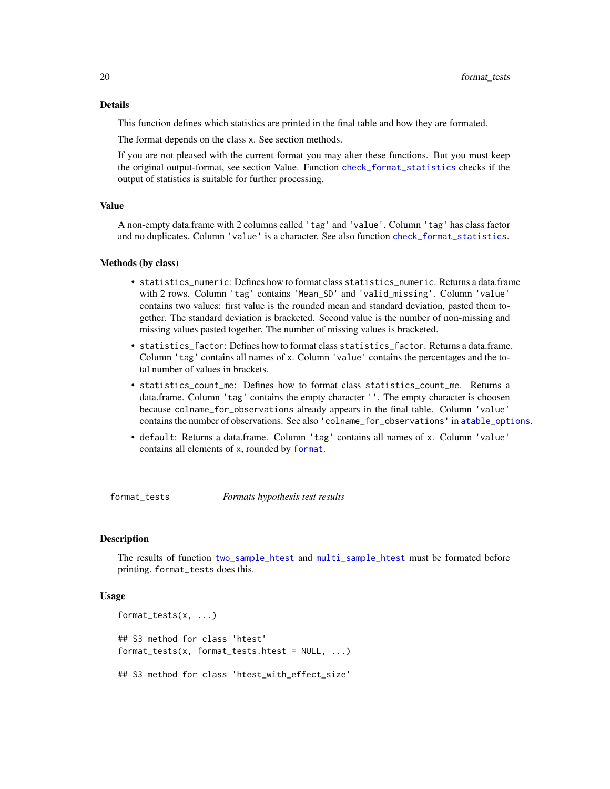# <span id="page-19-0"></span>Details

This function defines which statistics are printed in the final table and how they are formated.

The format depends on the class x. See section methods.

If you are not pleased with the current format you may alter these functions. But you must keep the original output-format, see section Value. Function [check\\_format\\_statistics](#page-15-1) checks if the output of statistics is suitable for further processing.

#### Value

A non-empty data.frame with 2 columns called 'tag' and 'value'. Column 'tag' has class factor and no duplicates. Column 'value' is a character. See also function [check\\_format\\_statistics](#page-15-1).

# Methods (by class)

- statistics\_numeric: Defines how to format class statistics\_numeric. Returns a data.frame with 2 rows. Column 'tag' contains 'Mean\_SD' and 'valid\_missing'. Column 'value' contains two values: first value is the rounded mean and standard deviation, pasted them together. The standard deviation is bracketed. Second value is the number of non-missing and missing values pasted together. The number of missing values is bracketed.
- statistics\_factor: Defines how to format class statistics\_factor. Returns a data.frame. Column 'tag' contains all names of x. Column 'value' contains the percentages and the total number of values in brackets.
- statistics\_count\_me: Defines how to format class statistics\_count\_me. Returns a data.frame. Column 'tag' contains the empty character ''. The empty character is choosen because colname\_for\_observations already appears in the final table. Column 'value' contains the number of observations. See also 'colname\_for\_observations' in [atable\\_options](#page-11-1).
- default: Returns a data.frame. Column 'tag' contains all names of x. Column 'value' contains all elements of x, rounded by [format](#page-0-0).

<span id="page-19-1"></span>format\_tests *Formats hypothesis test results*

#### Description

The results of function [two\\_sample\\_htest](#page-33-1) and [multi\\_sample\\_htest](#page-24-1) must be formated before printing. format\_tests does this.

# Usage

```
format_tests(x, ...)
## S3 method for class 'htest'
format_tests(x, format_tests.htest = NULL, ...)
## S3 method for class 'htest_with_effect_size'
```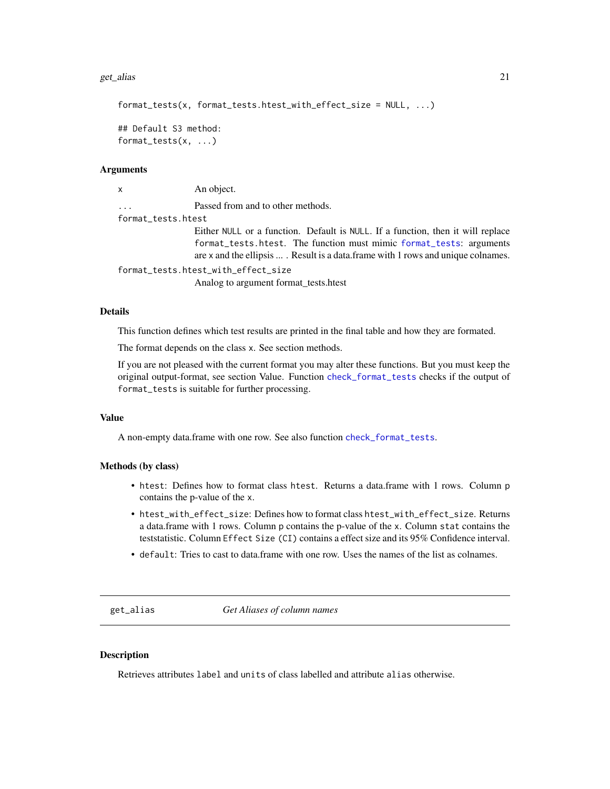#### <span id="page-20-0"></span>get\_alias 21

```
format_tests(x, format_tests.htest_with_effect_size = NULL, ...)
## Default S3 method:
format_tests(x, ...)
```
#### Arguments

x An object. ... Passed from and to other methods. format\_tests.htest Either NULL or a function. Default is NULL. If a function, then it will replace format\_tests.htest. The function must mimic [format\\_tests](#page-19-1): arguments are x and the ellipsis ... . Result is a data.frame with 1 rows and unique colnames. format\_tests.htest\_with\_effect\_size

Analog to argument format\_tests.htest

# Details

This function defines which test results are printed in the final table and how they are formated.

The format depends on the class x. See section methods.

If you are not pleased with the current format you may alter these functions. But you must keep the original output-format, see section Value. Function [check\\_format\\_tests](#page-16-1) checks if the output of format\_tests is suitable for further processing.

# Value

A non-empty data.frame with one row. See also function [check\\_format\\_tests](#page-16-1).

#### Methods (by class)

- htest: Defines how to format class htest. Returns a data.frame with 1 rows. Column p contains the p-value of the x.
- htest\_with\_effect\_size: Defines how to format class htest\_with\_effect\_size. Returns a data.frame with 1 rows. Column p contains the p-value of the x. Column stat contains the teststatistic. Column Effect Size (CI) contains a effect size and its 95% Confidence interval.
- default: Tries to cast to data.frame with one row. Uses the names of the list as colnames.

get\_alias *Get Aliases of column names*

# **Description**

Retrieves attributes label and units of class labelled and attribute alias otherwise.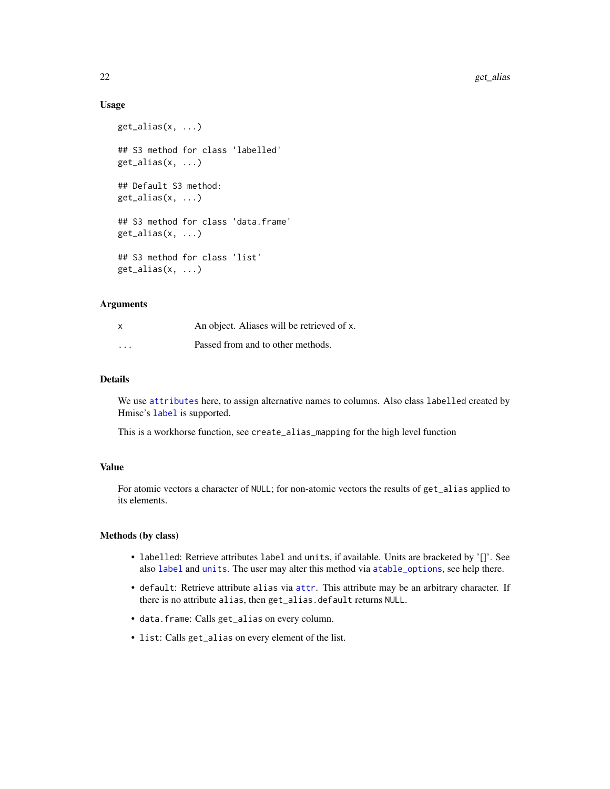# Usage

```
get_alias(x, ...)
## S3 method for class 'labelled'
get\_alias(x, ...)## Default S3 method:
get\_alias(x, ...)## S3 method for class 'data.frame'
get_alias(x, ...)
## S3 method for class 'list'
get_alias(x, ...)
```
# **Arguments**

| $\times$ | An object. Aliases will be retrieved of x. |
|----------|--------------------------------------------|
| $\cdot$  | Passed from and to other methods.          |

# Details

We use [attributes](#page-0-0) here, to assign alternative names to columns. Also class labelled created by Hmisc's [label](#page-0-0) is supported.

This is a workhorse function, see create\_alias\_mapping for the high level function

# Value

For atomic vectors a character of NULL; for non-atomic vectors the results of get\_alias applied to its elements.

#### Methods (by class)

- labelled: Retrieve attributes label and units, if available. Units are bracketed by '[]'. See also [label](#page-0-0) and [units](#page-0-0). The user may alter this method via [atable\\_options](#page-11-1), see help there.
- default: Retrieve attribute alias via [attr](#page-0-0). This attribute may be an arbitrary character. If there is no attribute alias, then get\_alias.default returns NULL.
- data.frame: Calls get\_alias on every column.
- list: Calls get\_alias on every element of the list.

<span id="page-21-0"></span>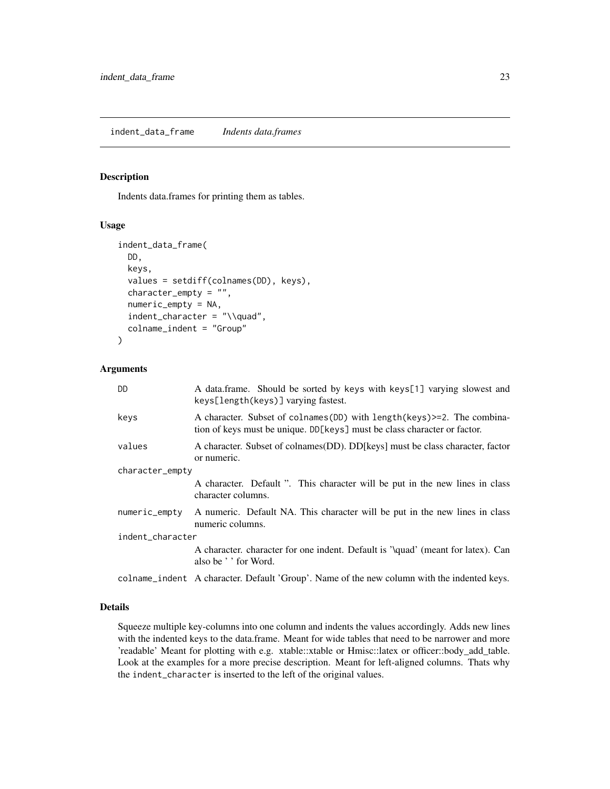# <span id="page-22-1"></span><span id="page-22-0"></span>Description

Indents data.frames for printing them as tables.

#### Usage

```
indent_data_frame(
 DD,
 keys,
  values = setdiff(colnames(DD), keys),
  character_empty = "",
  numeric_empty = NA,
  indent_character = "\\quad",
  colname_indent = "Group"
)
```
# Arguments

| <b>DD</b>        | A data frame. Should be sorted by keys with keys[1] varying slowest and<br>keys[length(keys)] varying fastest.                                          |  |  |  |  |
|------------------|---------------------------------------------------------------------------------------------------------------------------------------------------------|--|--|--|--|
| keys             | A character. Subset of colnames (DD) with length (keys) > = 2. The combina-<br>tion of keys must be unique. DD[keys] must be class character or factor. |  |  |  |  |
| values           | A character. Subset of colnames (DD). DD [keys] must be class character, factor<br>or numeric.                                                          |  |  |  |  |
| character_empty  |                                                                                                                                                         |  |  |  |  |
|                  | A character. Default ". This character will be put in the new lines in class<br>character columns.                                                      |  |  |  |  |
| numeric_empty    | A numeric. Default NA. This character will be put in the new lines in class<br>numeric columns.                                                         |  |  |  |  |
| indent_character |                                                                                                                                                         |  |  |  |  |
|                  | A character, character for one indent. Default is '\quad' (meant for latex). Can<br>also be ' ' for Word.                                               |  |  |  |  |
|                  | colname_indent A character. Default 'Group'. Name of the new column with the indented keys.                                                             |  |  |  |  |

# Details

Squeeze multiple key-columns into one column and indents the values accordingly. Adds new lines with the indented keys to the data.frame. Meant for wide tables that need to be narrower and more 'readable' Meant for plotting with e.g. xtable::xtable or Hmisc::latex or officer::body\_add\_table. Look at the examples for a more precise description. Meant for left-aligned columns. Thats why the indent\_character is inserted to the left of the original values.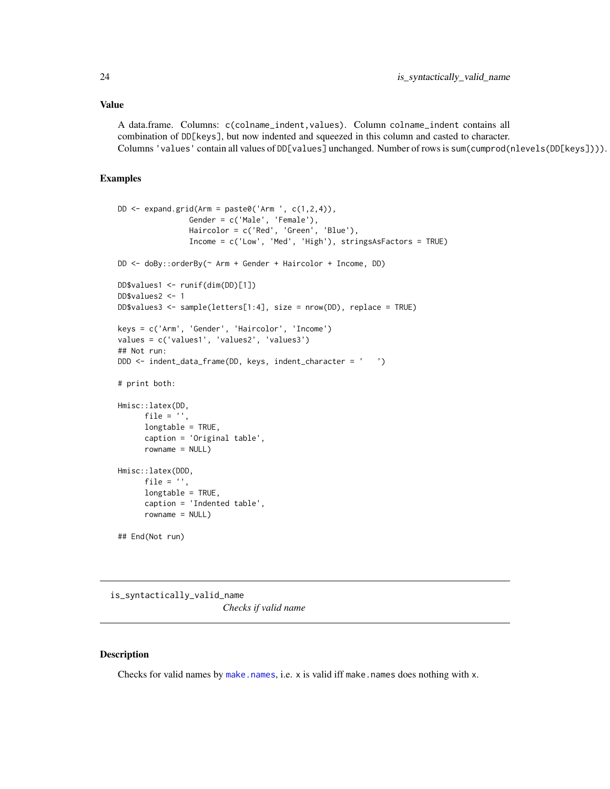#### <span id="page-23-0"></span>Value

A data.frame. Columns: c(colname\_indent,values). Column colname\_indent contains all combination of DD[keys], but now indented and squeezed in this column and casted to character. Columns 'values' contain all values of DD[values] unchanged. Number of rows is sum(cumprod(nlevels(DD[keys]))).

# Examples

```
DD \leftarrow expand.grid(Arm = paste0('Arm ', c(1,2,4)),
                Gender = c('Male', 'Female'),
                Haircolor = c('Red', 'Green', 'Blue'),
                Income = c('Low', 'Med', 'High'), stringsAsFactors = TRUE)
DD <- doBy::orderBy(~ Arm + Gender + Haircolor + Income, DD)
DD$values1 <- runif(dim(DD)[1])
DD$values2 <- 1
DD$values3 <- sample(letters[1:4], size = nrow(DD), replace = TRUE)
keys = c('Arm', 'Gender', 'Haircolor', 'Income')
values = c('values1', 'values2', 'values3')
## Not run:
DDD <- indent_data_frame(DD, keys, indent_character = ' ')
# print both:
Hmisc::latex(DD,
      file = ',
      longtable = TRUE,
      caption = 'Original table',
      rowname = NULL)
Hmisc::latex(DDD,
      file = ',
      longtable = TRUE,
      caption = 'Indented table',
      rowname = NULL)
## End(Not run)
```
<span id="page-23-1"></span>is\_syntactically\_valid\_name *Checks if valid name*

# Description

Checks for valid names by [make.names](#page-0-0), i.e.  $x$  is valid iff make.names does nothing with  $x$ .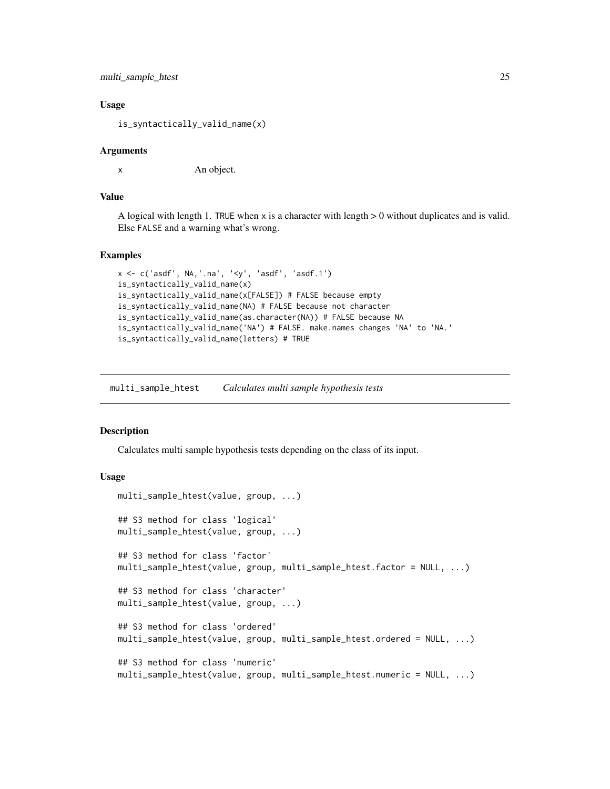```
multi_sample_htest 25
```
# Usage

is\_syntactically\_valid\_name(x)

# Arguments

x An object.

#### Value

A logical with length 1. TRUE when  $x$  is a character with length  $> 0$  without duplicates and is valid. Else FALSE and a warning what's wrong.

# Examples

```
x <- c('asdf', NA,'.na', '<y', 'asdf', 'asdf.1')
is_syntactically_valid_name(x)
is_syntactically_valid_name(x[FALSE]) # FALSE because empty
is_syntactically_valid_name(NA) # FALSE because not character
is_syntactically_valid_name(as.character(NA)) # FALSE because NA
is_syntactically_valid_name('NA') # FALSE. make.names changes 'NA' to 'NA.'
is_syntactically_valid_name(letters) # TRUE
```
<span id="page-24-1"></span>multi\_sample\_htest *Calculates multi sample hypothesis tests*

# <span id="page-24-2"></span>**Description**

Calculates multi sample hypothesis tests depending on the class of its input.

# Usage

```
multi_sample_htest(value, group, ...)
## S3 method for class 'logical'
multi_sample_htest(value, group, ...)
## S3 method for class 'factor'
multi_sample_htest(value, group, multi_sample_htest.factor = NULL, ...)
## S3 method for class 'character'
multi_sample_htest(value, group, ...)
## S3 method for class 'ordered'
multi_sample_htest(value, group, multi_sample_htest.ordered = NULL, ...)
## S3 method for class 'numeric'
multi_sample_htest(value, group, multi_sample_htest.numeric = NULL, ...)
```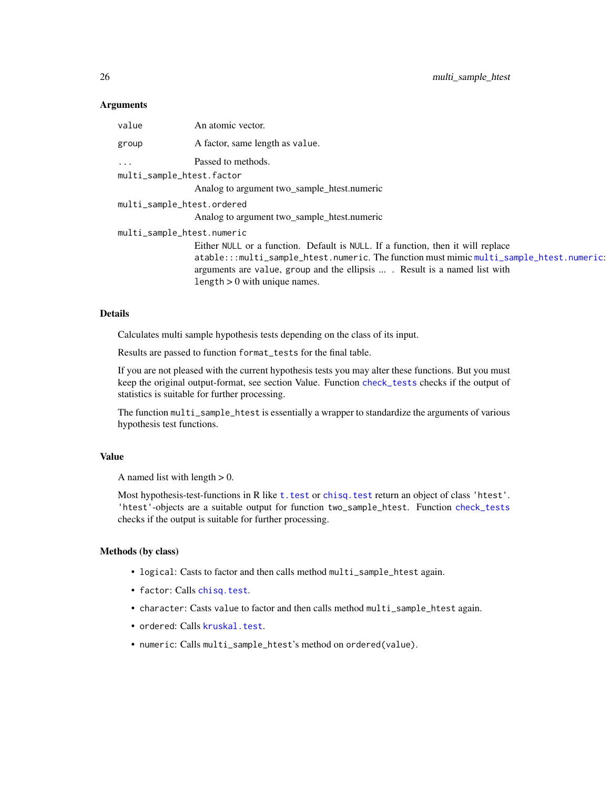# <span id="page-25-0"></span>**Arguments**

| value                      | An atomic vector.                                                                        |  |  |  |
|----------------------------|------------------------------------------------------------------------------------------|--|--|--|
| group                      | A factor, same length as value.                                                          |  |  |  |
| $\ddots$                   | Passed to methods.                                                                       |  |  |  |
| multi_sample_htest.factor  |                                                                                          |  |  |  |
|                            | Analog to argument two_sample_htest.numeric                                              |  |  |  |
| multi_sample_htest.ordered |                                                                                          |  |  |  |
|                            | Analog to argument two_sample_htest.numeric                                              |  |  |  |
| multi_sample_htest.numeric |                                                                                          |  |  |  |
|                            | Either NULL or a function. Default is NULL. If a function, then it will replace          |  |  |  |
|                            | atable:::multi_sample_htest.numeric. The function must mimic multi_sample_htest.numeric: |  |  |  |
|                            | arguments are value, group and the ellipsis  Result is a named list with                 |  |  |  |
|                            | length $> 0$ with unique names.                                                          |  |  |  |

# Details

Calculates multi sample hypothesis tests depending on the class of its input.

Results are passed to function format\_tests for the final table.

If you are not pleased with the current hypothesis tests you may alter these functions. But you must keep the original output-format, see section Value. Function [check\\_tests](#page-17-2) checks if the output of statistics is suitable for further processing.

The function multi\_sample\_htest is essentially a wrapper to standardize the arguments of various hypothesis test functions.

# Value

A named list with length  $> 0$ .

Most hypothesis-test-functions in R like t. test or chisq. test return an object of class 'htest'. 'htest'-objects are a suitable output for function two\_sample\_htest. Function [check\\_tests](#page-17-2) checks if the output is suitable for further processing.

#### Methods (by class)

- logical: Casts to factor and then calls method multi\_sample\_htest again.
- factor: Calls [chisq.test](#page-0-0).
- character: Casts value to factor and then calls method multi\_sample\_htest again.
- ordered: Calls [kruskal.test](#page-0-0).
- numeric: Calls multi\_sample\_htest's method on ordered(value).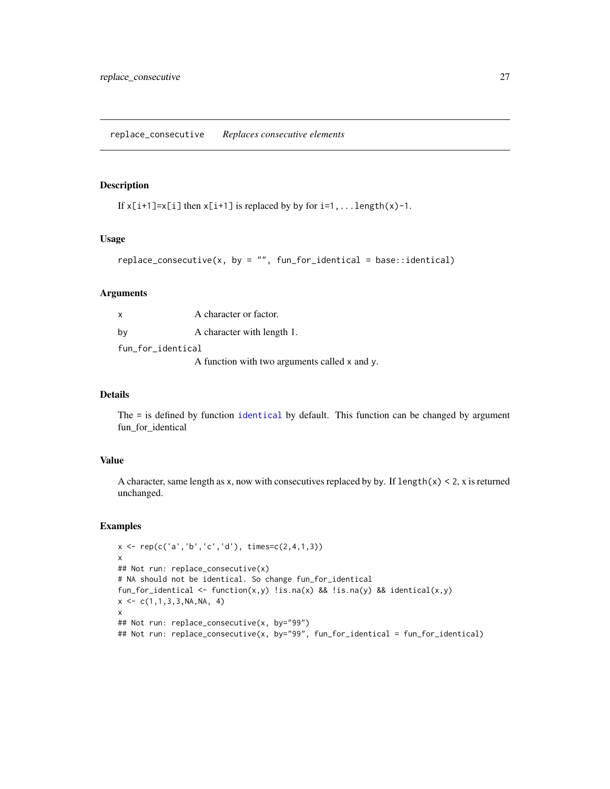# <span id="page-26-0"></span>Description

```
If x[i+1]=x[i] then x[i+1] is replaced by by for i=1,... length(x)-1.
```
# Usage

```
replace\_consecutive(x, by = "", fun_for_idential = base::identical)
```
# Arguments

| $\mathsf{x}$      | A character or factor.                        |  |  |  |  |
|-------------------|-----------------------------------------------|--|--|--|--|
| bv                | A character with length 1.                    |  |  |  |  |
| fun_for_identical |                                               |  |  |  |  |
|                   | A function with two arguments called x and y. |  |  |  |  |

# Details

The = is defined by function [identical](#page-0-0) by default. This function can be changed by argument fun\_for\_identical

# Value

A character, same length as x, now with consecutives replaced by by. If  $l$ ength(x) < 2, x is returned unchanged.

# Examples

```
x \leq -\text{rep}(c('a', 'b', 'c', 'd'), \text{times=}c(2, 4, 1, 3))x
## Not run: replace_consecutive(x)
# NA should not be identical. So change fun_for_identical
fun_for_identical <- function(x,y) !is.na(x) && !is.na(y) && identical(x,y)
x \leq -c(1, 1, 3, 3, NA, NA, 4)x
## Not run: replace_consecutive(x, by="99")
## Not run: replace_consecutive(x, by="99", fun_for_identical = fun_for_identical)
```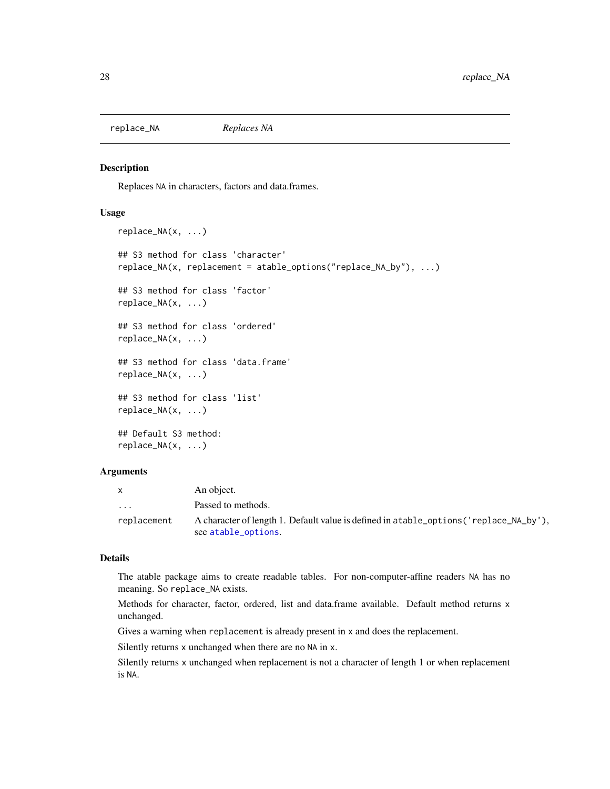<span id="page-27-1"></span><span id="page-27-0"></span>replace\_NA *Replaces NA*

### Description

Replaces NA in characters, factors and data.frames.

# Usage

```
replace_NA(x, ...)
## S3 method for class 'character'
replace_NA(x, replacement = atable_options("replace_NA_by"), ...)
## S3 method for class 'factor'
replace_NA(x, ...)
## S3 method for class 'ordered'
replace_NA(x, ...)
## S3 method for class 'data.frame'
replace_NA(x, ...)
## S3 method for class 'list'
replace_NA(x, ...)
## Default S3 method:
replace_NA(x, ...)
```
# Arguments

|                         | An object.                                                                              |
|-------------------------|-----------------------------------------------------------------------------------------|
| $\cdot$ $\cdot$ $\cdot$ | Passed to methods.                                                                      |
| replacement             | A character of length 1. Default value is defined in a table_options ('replace_NA_by'), |
|                         | see atable_options.                                                                     |

# Details

The atable package aims to create readable tables. For non-computer-affine readers NA has no meaning. So replace\_NA exists.

Methods for character, factor, ordered, list and data.frame available. Default method returns x unchanged.

Gives a warning when replacement is already present in x and does the replacement.

Silently returns x unchanged when there are no NA in x.

Silently returns x unchanged when replacement is not a character of length 1 or when replacement is NA.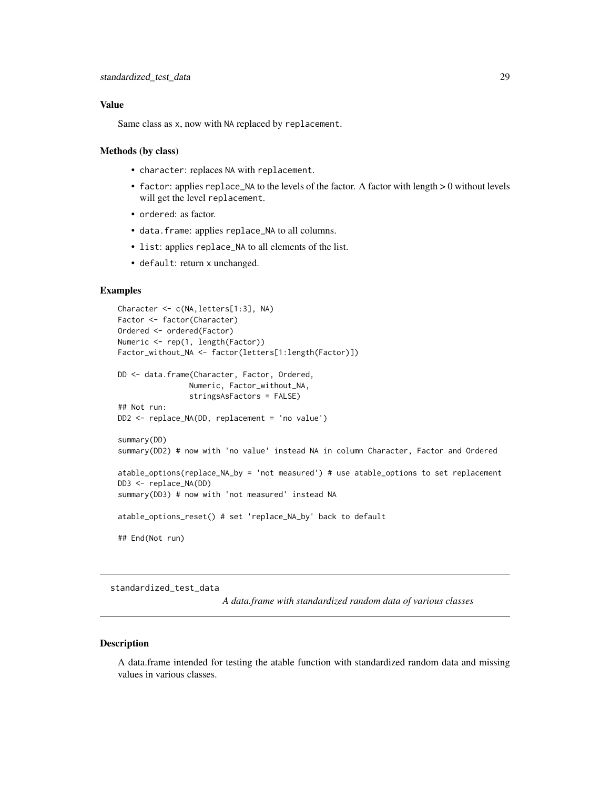# <span id="page-28-0"></span>Value

Same class as x, now with NA replaced by replacement.

#### Methods (by class)

- character: replaces NA with replacement.
- factor: applies replace\_NA to the levels of the factor. A factor with length > 0 without levels will get the level replacement.
- ordered: as factor.
- data.frame: applies replace\_NA to all columns.
- list: applies replace\_NA to all elements of the list.
- default: return x unchanged.

# Examples

```
Character <- c(NA,letters[1:3], NA)
Factor <- factor(Character)
Ordered <- ordered(Factor)
Numeric <- rep(1, length(Factor))
Factor_without_NA <- factor(letters[1:length(Factor)])
DD <- data.frame(Character, Factor, Ordered,
                Numeric, Factor_without_NA,
                stringsAsFactors = FALSE)
## Not run:
DD2 <- replace_NA(DD, replacement = 'no value')
summary(DD)
summary(DD2) # now with 'no value' instead NA in column Character, Factor and Ordered
atable_options(replace_NA_by = 'not measured') # use atable_options to set replacement
DD3 <- replace_NA(DD)
summary(DD3) # now with 'not measured' instead NA
atable_options_reset() # set 'replace_NA_by' back to default
## End(Not run)
```
standardized\_test\_data

*A data.frame with standardized random data of various classes*

# Description

A data.frame intended for testing the atable function with standardized random data and missing values in various classes.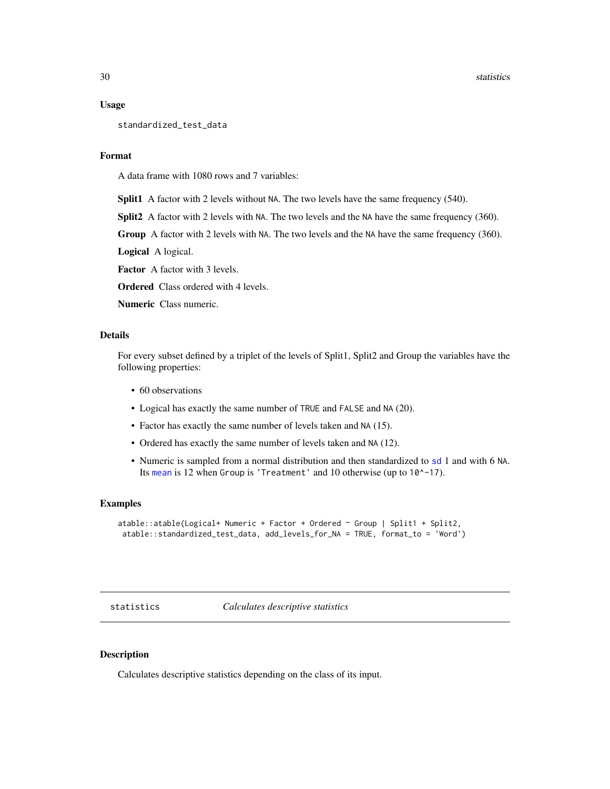#### <span id="page-29-0"></span>Usage

standardized\_test\_data

# Format

A data frame with 1080 rows and 7 variables:

Split1 A factor with 2 levels without NA. The two levels have the same frequency (540).

Split2 A factor with 2 levels with NA. The two levels and the NA have the same frequency (360).

Group A factor with 2 levels with NA. The two levels and the NA have the same frequency (360).

Logical A logical.

Factor A factor with 3 levels.

**Ordered** Class ordered with 4 levels.

Numeric Class numeric.

# Details

For every subset defined by a triplet of the levels of Split1, Split2 and Group the variables have the following properties:

- 60 observations
- Logical has exactly the same number of TRUE and FALSE and NA (20).
- Factor has exactly the same number of levels taken and NA (15).
- Ordered has exactly the same number of levels taken and NA (12).
- Numeric is sampled from a normal distribution and then standardized to [sd](#page-0-0) 1 and with 6 NA. Its [mean](#page-0-0) is 12 when Group is 'Treatment' and 10 otherwise (up to 10^-17).

# Examples

```
atable::atable(Logical+ Numeric + Factor + Ordered ~ Group | Split1 + Split2,
 atable::standardized_test_data, add_levels_for_NA = TRUE, format_to = 'Word')
```
<span id="page-29-1"></span>statistics *Calculates descriptive statistics*

# Description

Calculates descriptive statistics depending on the class of its input.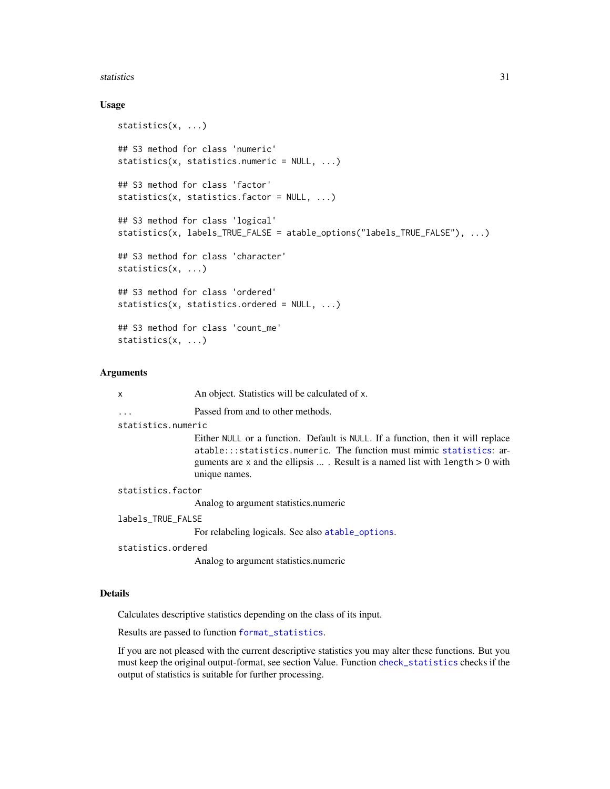#### <span id="page-30-0"></span>statistics 31

# Usage

```
statistics(x, ...)
## S3 method for class 'numeric'
statistics(x, statistics.numeric = NULL, ...)
## S3 method for class 'factor'
statistics(x, statistics.factor = NULL, ...)
## S3 method for class 'logical'
statistics(x, labels_TRUE_FALSE = atable_options("labels_TRUE_FALSE"), ...)
## S3 method for class 'character'
statistics(x, ...)
## S3 method for class 'ordered'
statistics(x, statistics.ordered = NULL, ...)
## S3 method for class 'count_me'
statistics(x, ...)
```
#### Arguments

| X                  | An object. Statistics will be calculated of x.                                                                                                                                                                                                                     |
|--------------------|--------------------------------------------------------------------------------------------------------------------------------------------------------------------------------------------------------------------------------------------------------------------|
|                    | Passed from and to other methods.                                                                                                                                                                                                                                  |
| statistics.numeric |                                                                                                                                                                                                                                                                    |
|                    | Either NULL or a function. Default is NULL. If a function, then it will replace<br>atable:::statistics.numeric. The function must mimic statistics: ar-<br>guments are x and the ellipsis $\dots$ . Result is a named list with length $> 0$ with<br>unique names. |
| statistics.factor  |                                                                                                                                                                                                                                                                    |
|                    | Analog to argument statistics.numeric                                                                                                                                                                                                                              |
| labels_TRUE_FALSE  |                                                                                                                                                                                                                                                                    |
|                    | For relabeling logicals. See also atable_options.                                                                                                                                                                                                                  |
| statistics.ordered |                                                                                                                                                                                                                                                                    |
|                    | Analog to argument statistics.numeric                                                                                                                                                                                                                              |
|                    |                                                                                                                                                                                                                                                                    |

# Details

Calculates descriptive statistics depending on the class of its input.

Results are passed to function [format\\_statistics](#page-18-1).

If you are not pleased with the current descriptive statistics you may alter these functions. But you must keep the original output-format, see section Value. Function [check\\_statistics](#page-16-2) checks if the output of statistics is suitable for further processing.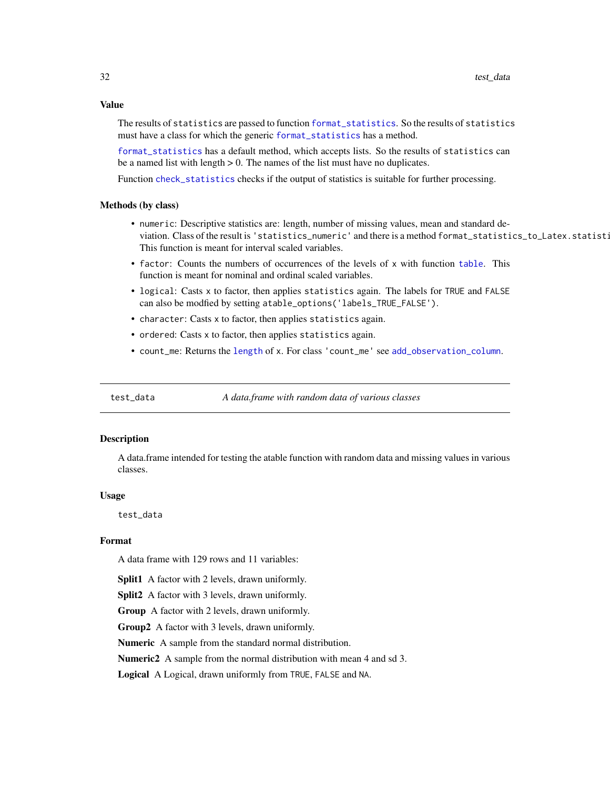<span id="page-31-0"></span>The results of statistics are passed to function [format\\_statistics](#page-18-1). So the results of statistics must have a class for which the generic [format\\_statistics](#page-18-1) has a method.

[format\\_statistics](#page-18-1) has a default method, which accepts lists. So the results of statistics can be a named list with length  $> 0$ . The names of the list must have no duplicates.

Function [check\\_statistics](#page-16-2) checks if the output of statistics is suitable for further processing.

#### Methods (by class)

- numeric: Descriptive statistics are: length, number of missing values, mean and standard deviation. Class of the result is 'statistics\_numeric' and there is a method format\_statistics\_to\_Latex.statisti This function is meant for interval scaled variables.
- factor: Counts the numbers of occurrences of the levels of x with function [table](#page-0-0). This function is meant for nominal and ordinal scaled variables.
- logical: Casts x to factor, then applies statistics again. The labels for TRUE and FALSE can also be modfied by setting atable\_options('labels\_TRUE\_FALSE').
- character: Casts x to factor, then applies statistics again.
- ordered: Casts x to factor, then applies statistics again.
- count\_me: Returns the [length](#page-0-0) of x. For class 'count\_me' see [add\\_observation\\_column](#page-1-1).

test\_data *A data.frame with random data of various classes*

# **Description**

A data.frame intended for testing the atable function with random data and missing values in various classes.

#### Usage

test\_data

# Format

A data frame with 129 rows and 11 variables:

Split1 A factor with 2 levels, drawn uniformly.

Split2 A factor with 3 levels, drawn uniformly.

Group A factor with 2 levels, drawn uniformly.

Group2 A factor with 3 levels, drawn uniformly.

Numeric A sample from the standard normal distribution.

Numeric2 A sample from the normal distribution with mean 4 and sd 3.

Logical A Logical, drawn uniformly from TRUE, FALSE and NA.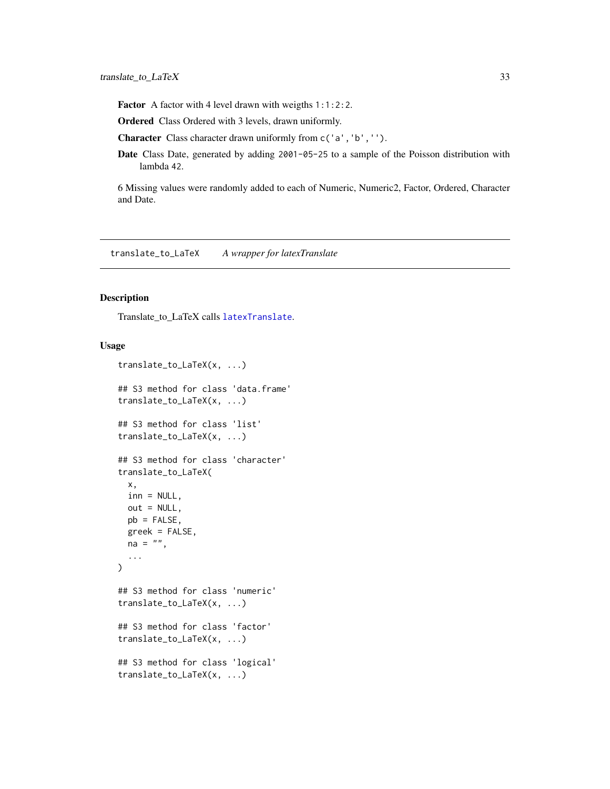<span id="page-32-0"></span>Factor A factor with 4 level drawn with weigths 1:1:2:2.

Ordered Class Ordered with 3 levels, drawn uniformly.

Character Class character drawn uniformly from c('a','b','').

Date Class Date, generated by adding 2001-05-25 to a sample of the Poisson distribution with lambda 42.

6 Missing values were randomly added to each of Numeric, Numeric2, Factor, Ordered, Character and Date.

<span id="page-32-1"></span>translate\_to\_LaTeX *A wrapper for latexTranslate*

#### Description

Translate\_to\_LaTeX calls [latexTranslate](#page-0-0).

# Usage

```
translate_to_LaTeX(x, ...)
## S3 method for class 'data.frame'
translate_to_LaTeX(x, ...)
## S3 method for class 'list'
translate_to_LaTeX(x, ...)
## S3 method for class 'character'
translate_to_LaTeX(
 x,
 inn = NULL,out = NULL,pb = FALSE,greek = FALSE,
 na = "",...
)
## S3 method for class 'numeric'
translate_to_LaTeX(x, ...)
## S3 method for class 'factor'
translate_to_LaTeX(x, ...)
## S3 method for class 'logical'
translate_to_LaTeX(x, ...)
```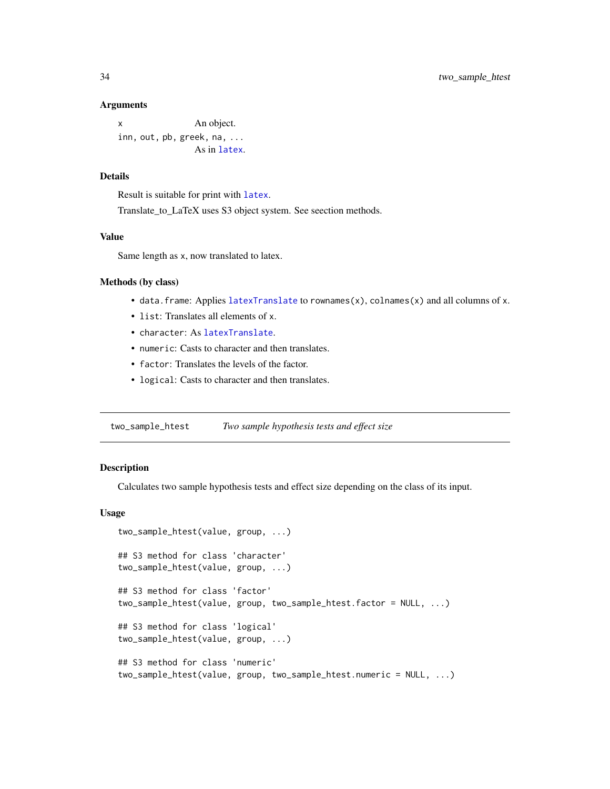#### <span id="page-33-0"></span>Arguments

x An object. inn, out, pb, greek, n[a, ...](#page-0-0) As in latex.

# Details

Result is suitable for print with [latex](#page-0-0).

Translate\_to\_LaTeX uses S3 object system. See seection methods.

# Value

Same length as x, now translated to latex.

#### Methods (by class)

- data.frame: Applies [latexTranslate](#page-0-0) to rownames(x), colnames(x) and all columns of x.
- list: Translates all elements of x.
- character: As [latexTranslate](#page-0-0).
- numeric: Casts to character and then translates.
- factor: Translates the levels of the factor.
- logical: Casts to character and then translates.

<span id="page-33-1"></span>two\_sample\_htest *Two sample hypothesis tests and effect size*

# <span id="page-33-2"></span>Description

Calculates two sample hypothesis tests and effect size depending on the class of its input.

# Usage

```
two_sample_htest(value, group, ...)
## S3 method for class 'character'
two_sample_htest(value, group, ...)
## S3 method for class 'factor'
two_sample_htest(value, group, two_sample_htest.factor = NULL, ...)
## S3 method for class 'logical'
two_sample_htest(value, group, ...)
## S3 method for class 'numeric'
two_sample_htest(value, group, two_sample_htest.numeric = NULL, ...)
```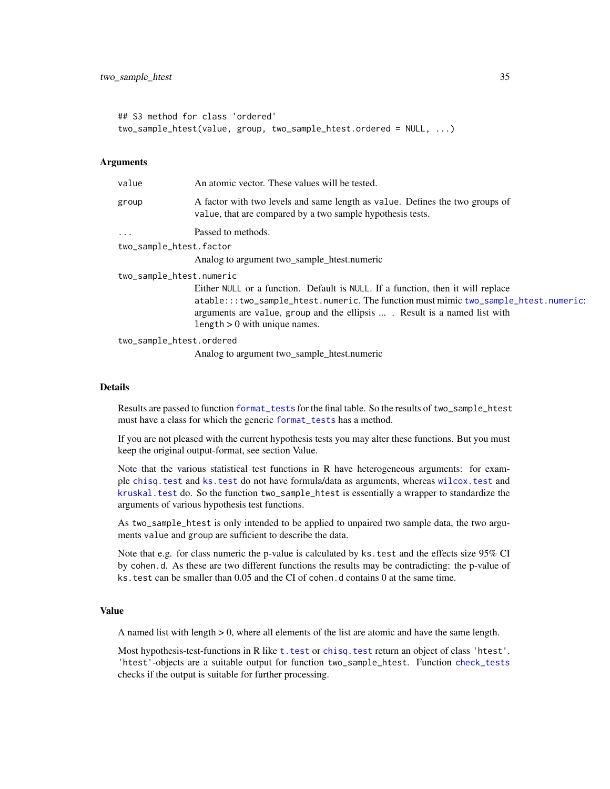```
## S3 method for class 'ordered'
two_sample_htest(value, group, two_sample_htest.ordered = NULL, ...)
```
#### **Arguments**

| value                    | An atomic vector. These values will be tested.                                                                                                                                                      |
|--------------------------|-----------------------------------------------------------------------------------------------------------------------------------------------------------------------------------------------------|
| group                    | A factor with two levels and same length as value. Defines the two groups of<br>value, that are compared by a two sample hypothesis tests.                                                          |
| $\cdots$                 | Passed to methods.                                                                                                                                                                                  |
| two_sample_htest.factor  |                                                                                                                                                                                                     |
|                          | Analog to argument two_sample_htest.numeric                                                                                                                                                         |
| two_sample_htest.numeric |                                                                                                                                                                                                     |
|                          | Either NULL or a function. Default is NULL. If a function, then it will replace                                                                                                                     |
|                          | atable:::two_sample_htest.numeric. The function must mimic two_sample_htest.numeric:<br>arguments are value, group and the ellipsis  Result is a named list with<br>length $> 0$ with unique names. |
| two_sample_htest.ordered |                                                                                                                                                                                                     |
|                          |                                                                                                                                                                                                     |

Analog to argument two\_sample\_htest.numeric

#### Details

Results are passed to function [format\\_tests](#page-19-1) for the final table. So the results of two\_sample\_htest must have a class for which the generic [format\\_tests](#page-19-1) has a method.

If you are not pleased with the current hypothesis tests you may alter these functions. But you must keep the original output-format, see section Value.

Note that the various statistical test functions in R have heterogeneous arguments: for example [chisq.test](#page-0-0) and [ks.test](#page-0-0) do not have formula/data as arguments, whereas [wilcox.test](#page-0-0) and [kruskal.test](#page-0-0) do. So the function two\_sample\_htest is essentially a wrapper to standardize the arguments of various hypothesis test functions.

As two\_sample\_htest is only intended to be applied to unpaired two sample data, the two arguments value and group are sufficient to describe the data.

Note that e.g. for class numeric the p-value is calculated by ks.test and the effects size 95% CI by cohen.d. As these are two different functions the results may be contradicting: the p-value of ks.test can be smaller than 0.05 and the CI of cohen.d contains 0 at the same time.

# Value

A named list with length > 0, where all elements of the list are atomic and have the same length.

Most hypothesis-test-functions in R like t. test or chisq. test return an object of class 'htest'. 'htest'-objects are a suitable output for function two\_sample\_htest. Function [check\\_tests](#page-17-2) checks if the output is suitable for further processing.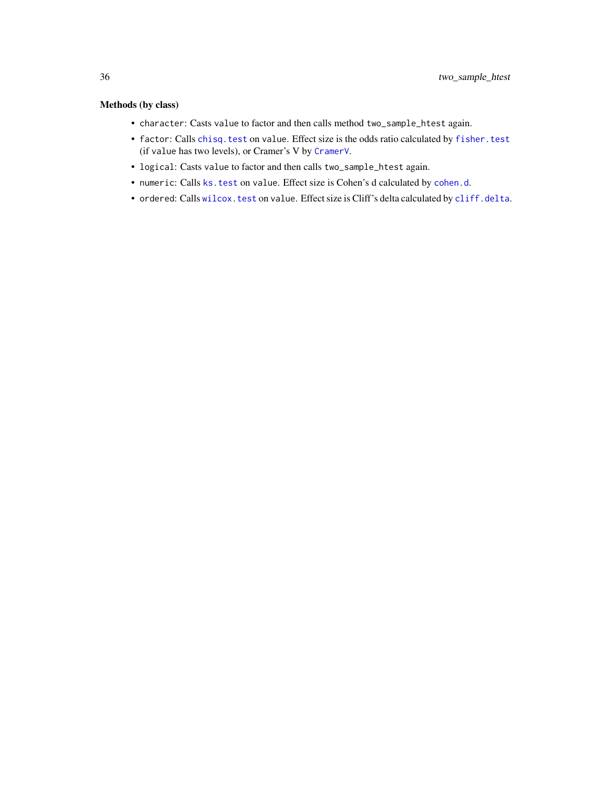# <span id="page-35-0"></span>Methods (by class)

- character: Casts value to factor and then calls method two\_sample\_htest again.
- factor: Calls [chisq.test](#page-0-0) on value. Effect size is the odds ratio calculated by [fisher.test](#page-0-0) (if value has two levels), or Cramer's V by [CramerV](#page-0-0).
- logical: Casts value to factor and then calls two\_sample\_htest again.
- numeric: Calls [ks.test](#page-0-0) on value. Effect size is Cohen's d calculated by [cohen.d](#page-0-0).
- ordered: Calls [wilcox.test](#page-0-0) on value. Effect size is Cliff's delta calculated by [cliff.delta](#page-0-0).